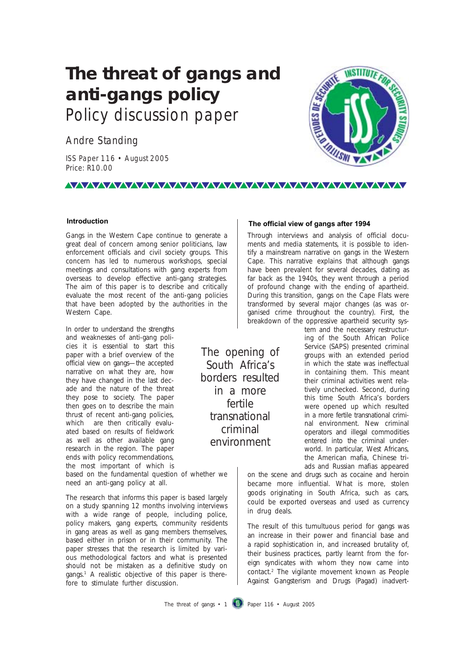## **The threat of gangs and anti-gangs policy** Policy discussion paper

Andre Standing

ISS Paper 116 • August 2005 Price: R10.00

# **WSTITUTEFO ENDIES DE SERA**

#### **Introduction**

Gangs in the Western Cape continue to generate a great deal of concern among senior politicians, law enforcement officials and civil society groups. This concern has led to numerous workshops, special meetings and consultations with gang experts from overseas to develop effective anti-gang strategies. The aim of this paper is to describe and critically evaluate the most recent of the anti-gang policies that have been adopted by the authorities in the Western Cape.

In order to understand the strengths and weaknesses of anti-gang policies it is essential to start this paper with a brief overview of the official view on gangs—the accepted narrative on what they are, how they have changed in the last decade and the nature of the threat they pose to society. The paper then goes on to describe the main thrust of recent anti-gang policies, which are then critically evaluated based on results of fieldwork as well as other available gang research in the region. The paper ends with policy recommendations, the most important of which is

based on the fundamental question of whether we need an anti-gang policy at all.

The research that informs this paper is based largely on a study spanning 12 months involving interviews with a wide range of people, including police, policy makers, gang experts, community residents in gang areas as well as gang members themselves, based either in prison or in their community. The paper stresses that the research is limited by various methodological factors and what is presented should not be mistaken as a definitive study on gangs.1 A realistic objective of this paper is therefore to stimulate further discussion.

**The official view of gangs after 1994 Introduction The official view of gangs after 1994**

Through interviews and analysis of official documents and media statements, it is possible to identify a mainstream narrative on gangs in the Western Cape. This narrative explains that although gangs have been prevalent for several decades, dating as far back as the 1940s, they went through a period of profound change with the ending of apartheid. During this transition, gangs on the Cape Flats were transformed by several major changes (as was organised crime throughout the country). First, the breakdown of the oppressive apartheid security sys-

> tem and the necessary restructuring of the South African Police Service (SAPS) presented criminal groups with an extended period in which the state was ineffectual in containing them. This meant their criminal activities went relatively unchecked. Second, during this time South Africa's borders were opened up which resulted in a more fertile transnational criminal environment. New criminal operators and illegal commodities entered into the criminal underworld. In particular, West Africans, the American mafia, Chinese triads and Russian mafias appeared

on the scene and drugs such as cocaine and heroin became more influential. What is more, stolen goods originating in South Africa, such as cars, could be exported overseas and used as currency in drug deals.

The result of this tumultuous period for gangs was an increase in their power and financial base and a rapid sophistication in, and increased brutality of, their business practices, partly learnt from the foreign syndicates with whom they now came into contact.2 The vigilante movement known as People Against Gangsterism and Drugs (Pagad) inadvert-

The threat of gangs  $\cdot$  1 **Paper 116**  $\cdot$  August 2005

The opening of South Africa's borders resulted in a more fertile transnational criminal environment

*NAXAAAAAAAAAAAAAAAAAAAAAAAAAAAAA*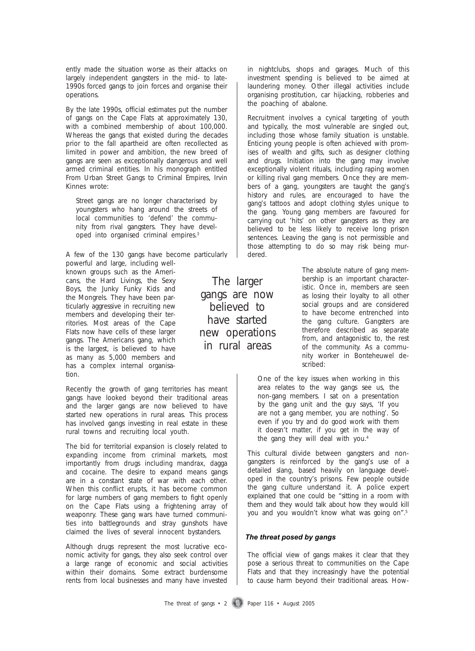ently made the situation worse as their attacks on largely independent gangsters in the mid- to late-1990s forced gangs to join forces and organise their operations.

By the late 1990s, official estimates put the number of gangs on the Cape Flats at approximately 130, with a combined membership of about 100,000. Whereas the gangs that existed during the decades prior to the fall apartheid are often recollected as limited in power and ambition, the new breed of gangs are seen as exceptionally dangerous and well armed criminal entities. In his monograph entitled *From Urban Street Gangs to Criminal Empires*, Irvin Kinnes wrote:

Street gangs are no longer characterised by youngsters who hang around the streets of local communities to 'defend' the community from rival gangsters. They have developed into organised criminal empires.3

A few of the 130 gangs have become particularly powerful and large, including well-

known groups such as the Americans, the Hard Livings, the Sexy Boys, the Junky Funky Kids and the Mongrels. They have been particularly aggressive in recruiting new members and developing their territories. Most areas of the Cape Flats now have cells of these larger gangs. The Americans gang, which is the largest, is believed to have as many as 5,000 members and has a complex internal organisation.

Recently the growth of gang territories has meant gangs have looked beyond their traditional areas and the larger gangs are now believed to have started new operations in rural areas. This process has involved gangs investing in real estate in these rural towns and recruiting local youth.

The bid for territorial expansion is closely related to expanding income from criminal markets, most importantly from drugs including mandrax, *dagga* and cocaine. The desire to expand means gangs are in a constant state of war with each other. When this conflict erupts, it has become common for large numbers of gang members to fight openly on the Cape Flats using a frightening array of weaponry. These gang wars have turned communities into battlegrounds and stray gunshots have claimed the lives of several innocent bystanders.

Although drugs represent the most lucrative economic activity for gangs, they also seek control over a large range of economic and social activities within their domains. Some extract burdensome rents from local businesses and many have invested

The larger gangs are now believed to have started new operations in rural areas

in nightclubs, shops and garages. Much of this investment spending is believed to be aimed at laundering money. Other illegal activities include organising prostitution, car hijacking, robberies and the poaching of abalone.

Recruitment involves a cynical targeting of youth and typically, the most vulnerable are singled out, including those whose family situation is unstable. Enticing young people is often achieved with promises of wealth and gifts, such as designer clothing and drugs. Initiation into the gang may involve exceptionally violent rituals, including raping women or killing rival gang members. Once they are members of a gang, youngsters are taught the gang's history and rules, are encouraged to have the gang's tattoos and adopt clothing styles unique to the gang. Young gang members are favoured for carrying out 'hits' on other gangsters as they are believed to be less likely to receive long prison sentences. Leaving the gang is not permissible and those attempting to do so may risk being murdered.

> The absolute nature of gang membership is an important characteristic. Once in, members are seen as losing their loyalty to all other social groups and are considered to have become entrenched into the *gang culture*. Gangsters are therefore described as separate from, and antagonistic to, the rest of the community. As a community worker in Bonteheuwel described:

One of the key issues when working in this area relates to the way gangs see us, the non-gang members. I sat on a presentation by the gang unit and the guy says, 'If you are not a gang member, you are nothing'. So even if you try and do good work with them it doesn't matter, if you get in the way of the gang they will deal with you.<sup>4</sup>

This cultural divide between gangsters and nongangsters is reinforced by the gang's use of a detailed slang, based heavily on language developed in the country's prisons. Few people outside the gang culture understand it. A police expert explained that one could be "sitting in a room with them and they would talk about how they would kill you and you wouldn't know what was going on".5

#### *The threat posed by gangs The threat posed by gangs*

The official view of gangs makes it clear that they pose a serious threat to communities on the Cape Flats and that they increasingly have the potential to cause harm beyond their traditional areas. How-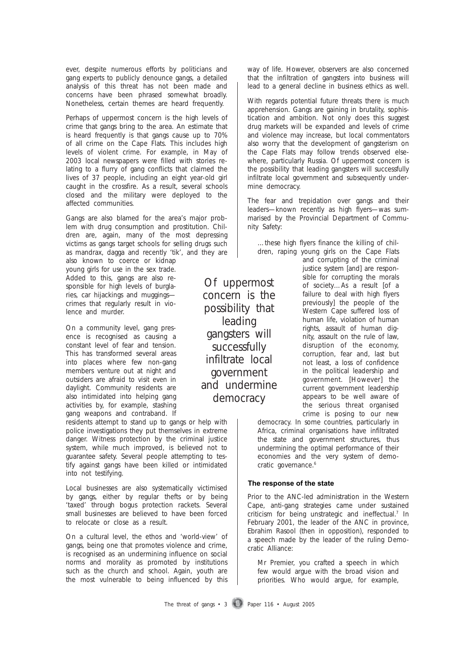ever, despite numerous efforts by politicians and gang experts to publicly denounce gangs, a detailed analysis of this threat has not been made and concerns have been phrased somewhat broadly. Nonetheless, certain themes are heard frequently.

Perhaps of uppermost concern is the high levels of crime that gangs bring to the area. An estimate that is heard frequently is that gangs cause up to 70% of all crime on the Cape Flats. This includes high levels of violent crime. For example, in May of 2003 local newspapers were filled with stories relating to a flurry of gang conflicts that claimed the lives of 37 people, including an eight year-old girl caught in the crossfire. As a result, several schools closed and the military were deployed to the affected communities.

Gangs are also blamed for the area's major problem with drug consumption and prostitution. Children are, again, many of the most depressing victims as gangs target schools for selling drugs such as mandrax, dagga and recently 'tik', and they are

also known to coerce or kidnap young girls for use in the sex trade. Added to this, gangs are also responsible for high levels of burglaries, car hijackings and muggings crimes that regularly result in violence and murder.

On a community level, gang presence is recognised as causing a constant level of fear and tension. This has transformed several areas into places where few non-gang members venture out at night and outsiders are afraid to visit even in daylight. Community residents are also intimidated into helping gang activities by, for example, stashing gang weapons and contraband. If

residents attempt to stand up to gangs or help with police investigations they put themselves in extreme danger. Witness protection by the criminal justice system, while much improved, is believed not to guarantee safety. Several people attempting to testify against gangs have been killed or intimidated into not testifying.

Local businesses are also systematically victimised by gangs, either by regular thefts or by being 'taxed' through bogus protection rackets. Several small businesses are believed to have been forced to relocate or close as a result.

On a cultural level, the ethos and 'world-view' of gangs, being one that promotes violence and crime, is recognised as an undermining influence on social norms and morality as promoted by institutions such as the church and school. Again, youth are the most vulnerable to being influenced by this

way of life. However, observers are also concerned that the infiltration of gangsters into business will lead to a general decline in business ethics as well.

With regards potential future threats there is much apprehension. Gangs are gaining in brutality, sophistication and ambition. Not only does this suggest drug markets will be expanded and levels of crime and violence may increase, but local commentators also worry that the development of gangsterism on the Cape Flats may follow trends observed elsewhere, particularly Russia. Of uppermost concern is the possibility that leading gangsters will successfully infiltrate local government and subsequently undermine democracy.

The fear and trepidation over gangs and their leaders—known recently as high flyers—was summarised by the Provincial Department of Community Safety:

…these high flyers finance the killing of children, raping young girls on the Cape Flats

and corrupting of the criminal justice system [and] are responsible for corrupting the morals of society…As a result [of a failure to deal with high flyers previously] the people of the Western Cape suffered loss of human life, violation of human rights, assault of human dignity, assault on the rule of law, disruption of the economy, corruption, fear and, last but not least, a loss of confidence in the political leadership and government. [However] the current government leadership appears to be well aware of the serious threat organised crime is posing to our new

democracy. In some countries, particularly in Africa, criminal organisations have infiltrated the state and government structures, thus undermining the optimal performance of their economies and the very system of democratic governance.<sup>6</sup>

#### **The response of the state The response of the state**

Prior to the ANC-led administration in the Western Cape, anti-gang strategies came under sustained criticism for being unstrategic and ineffectual.<sup>7</sup> In February 2001, the leader of the ANC in province, Ebrahim Rasool (then in opposition), responded to a speech made by the leader of the ruling Democratic Alliance:

Mr Premier, you crafted a speech in which few would argue with the broad vision and priorities. Who would argue, for example,

Of uppermost concern is the possibility that leading gangsters will successfully infiltrate local government and undermine democracy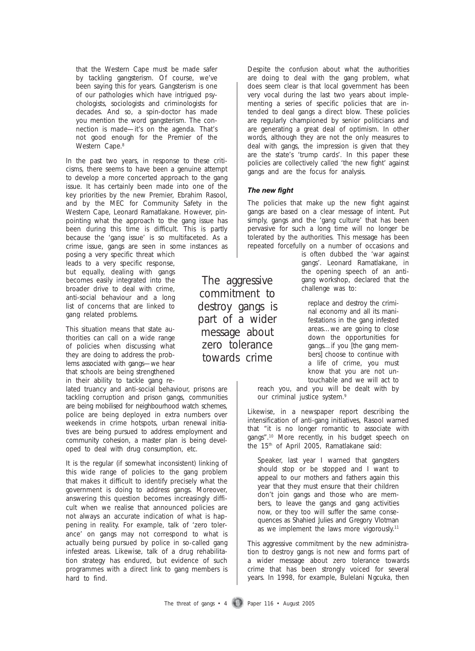that the Western Cape must be made safer by tackling gangsterism. Of course, we've been saying this for years. Gangsterism is one of our pathologies which have intrigued psychologists, sociologists and criminologists for decades. And so, a spin-doctor has made you mention the word gangsterism. The connection is made—it's on the agenda. That's not good enough for the Premier of the Western Cape.<sup>8</sup>

In the past two years, in response to these criticisms, there seems to have been a genuine attempt to develop a more concerted approach to the gang issue. It has certainly been made into one of the key priorities by the new Premier, Ebrahim Rasool, and by the MEC for Community Safety in the Western Cape, Leonard Ramatlakane. However, pinpointing what the approach to the gang issue has been during this time is difficult. This is partly because the 'gang issue' is so multifaceted. As a crime issue, gangs are seen in some instances as

posing a very specific threat which leads to a very specific response, but equally, dealing with gangs becomes easily integrated into the broader drive to deal with crime, anti-social behaviour and a long list of concerns that are linked to gang related problems.

This situation means that state authorities can call on a wide range of policies when discussing what they are doing to address the problems associated with gangs—we hear that schools are being strengthened in their ability to tackle gang re-

lated truancy and anti-social behaviour, prisons are tackling corruption and prison gangs, communities are being mobilised for neighbourhood watch schemes, police are being deployed in extra numbers over weekends in crime hotspots, urban renewal initiatives are being pursued to address employment and community cohesion, a master plan is being developed to deal with drug consumption, etc.

It is the regular (if somewhat inconsistent) linking of this wide range of policies to the gang problem that makes it difficult to identify precisely what the government is doing to address gangs. Moreover, answering this question becomes increasingly difficult when we realise that announced policies are not always an accurate indication of what is happening in reality. For example, talk of 'zero tolerance' on gangs may not correspond to what is actually being pursued by police in so-called gang infested areas. Likewise, talk of a drug rehabilitation strategy has endured, but evidence of such programmes with a direct link to gang members is hard to find.

Despite the confusion about what the authorities are doing to deal with the gang problem, what does seem clear is that local government has been very vocal during the last two years about implementing a series of specific policies that are intended to deal gangs a direct blow. These policies are regularly championed by senior politicians and are generating a great deal of optimism. In other words, although they are not the only measures to deal with gangs, the impression is given that they are the state's 'trump cards'. In this paper these policies are collectively called 'the new fight' against gangs and are the focus for analysis.

#### *The new fight The new fight*

The policies that make up the new fight against gangs are based on a clear message of intent. Put simply, gangs and the 'gang culture' that has been pervasive for such a long time will no longer be tolerated by the authorities. This message has been repeated forcefully on a number of occasions and

> is often dubbed the 'war against gangs'. Leonard Ramatlakane, in the opening speech of an antigang workshop, declared that the challenge was to:

replace and destroy the criminal economy and all its manifestations in the gang infested areas…we are going to close down the opportunities for gangs…if you [the gang members] choose to continue with a life of crime, you must know that you are not untouchable and we will act to

reach you, and you will be dealt with by our criminal justice system.<sup>9</sup>

Likewise, in a newspaper report describing the intensification of anti-gang initiatives, Rasool warned that "it is no longer romantic to associate with gangs".<sup>10</sup> More recently, in his budget speech on the 15th of April 2005, Ramatlakane said:

Speaker, last year I warned that gangsters should stop or be stopped and I want to appeal to our mothers and fathers again this year that they must ensure that their children don't join gangs and those who are members, to leave the gangs and gang activities now, or they too will suffer the same consequences as Shahied Julies and Gregory Vlotman as we implement the laws more vigorously.<sup>11</sup>

This aggressive commitment by the new administration to destroy gangs is not new and forms part of a wider message about zero tolerance towards crime that has been strongly voiced for several years. In 1998, for example, Bulelani Ngcuka, then

commitment to destroy gangs is part of a wider message about zero tolerance towards crime

The aggressive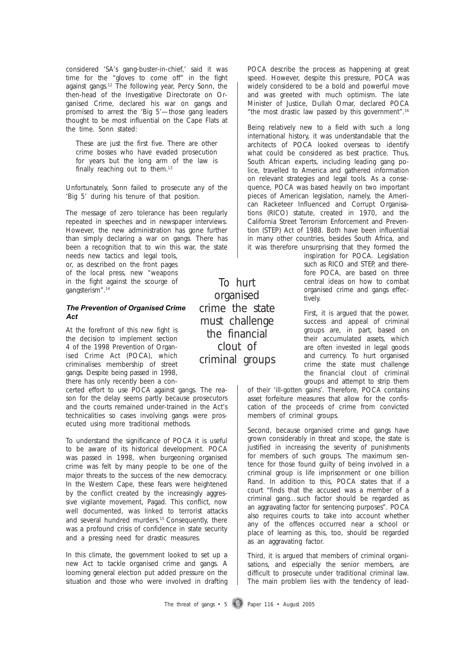considered 'SA's gang-buster-in-chief,' said it was time for the "gloves to come off" in the fight against gangs.<sup>12</sup> The following year, Percy Sonn, the then-head of the Investigative Directorate on Organised Crime, declared his war on gangs and promised to arrest the 'Big 5'—those gang leaders thought to be most influential on the Cape Flats at the time. Sonn stated:

These are just the first five. There are other crime bosses who have evaded prosecution for years but the long arm of the law is finally reaching out to them.<sup>13</sup>

Unfortunately, Sonn failed to prosecute any of the 'Big 5' during his tenure of that position.

The message of zero tolerance has been regularly repeated in speeches and in newspaper interviews. However, the new administration has gone further than simply declaring a war on gangs. There has been a recognition that to win this war, the state

needs new tactics and legal tools, or, as described on the front pages of the local press, new "weapons in the fight against the scourge of gangsterism".14

#### *The Prevention of Organised Crime The Prevention of Organised Crime Act Act*

At the forefront of this new fight is the decision to implement section 4 of the 1998 Prevention of Organised Crime Act (POCA), which criminalises membership of street gangs. Despite being passed in 1998, there has only recently been a con-

certed effort to use POCA against gangs. The reason for the delay seems partly because prosecutors and the courts remained under-trained in the Act's technicalities so cases involving gangs were prosecuted using more traditional methods.

To understand the significance of POCA it is useful to be aware of its historical development. POCA was passed in 1998, when burgeoning organised crime was felt by many people to be one of the major threats to the success of the new democracy. In the Western Cape, these fears were heightened by the conflict created by the increasingly aggressive vigilante movement, Pagad. This conflict, now well documented, was linked to terrorist attacks and several hundred murders.15 Consequently, there was a profound crisis of confidence in state security and a pressing need for drastic measures.

In this climate, the government looked to set up a new Act to tackle organised crime and gangs. A looming general election put added pressure on the situation and those who were involved in drafting

To hurt organised crime the state must challenge the financial clout of criminal groups

POCA describe the process as happening at great speed. However, despite this pressure, POCA was widely considered to be a bold and powerful move and was greeted with much optimism. The late Minister of Justice, Dullah Omar, declared POCA "the most drastic law passed by this government".16

Being relatively new to a field with such a long international history, it was understandable that the architects of POCA looked overseas to identify what could be considered as best practice. Thus, South African experts, including leading gang police, travelled to America and gathered information on relevant strategies and legal tools. As a consequence, POCA was based heavily on two important pieces of American legislation, namely, the American Racketeer Influenced and Corrupt Organisations (RICO) statute, created in 1970, and the California Street Terrorism Enforcement and Prevention (STEP) Act of 1988. Both have been influential in many other countries, besides South Africa, and it was therefore unsurprising that they formed the

inspiration for POCA. Legislation such as RICO and STEP, and therefore POCA, are based on three central ideas on how to combat organised crime and gangs effectively.

First, it is argued that the power, success and appeal of criminal groups are, in part, based on their accumulated assets, which are often invested in legal goods and currency. To hurt organised crime the state must challenge the financial clout of criminal groups and attempt to strip them

of their 'ill-gotten gains'. Therefore, POCA contains asset forfeiture measures that allow for the confiscation of the proceeds of crime from convicted members of criminal groups.

Second, because organised crime and gangs have grown considerably in threat and scope, the state is justified in increasing the severity of punishments for members of such groups. The maximum sentence for those found guilty of being involved in a criminal group is life imprisonment or one billion Rand. In addition to this, POCA states that if a court "finds that the accused was a member of a criminal gang…such factor should be regarded as an aggravating factor for sentencing purposes". POCA also requires courts to take into account whether any of the offences occurred near a school or place of learning as this, too, should be regarded as an aggravating factor.

Third, it is argued that members of criminal organisations, and especially the senior members, are difficult to prosecute under traditional criminal law. The main problem lies with the tendency of lead-

The threat of gangs  $\cdot$  5 Paper 116  $\cdot$  August 2005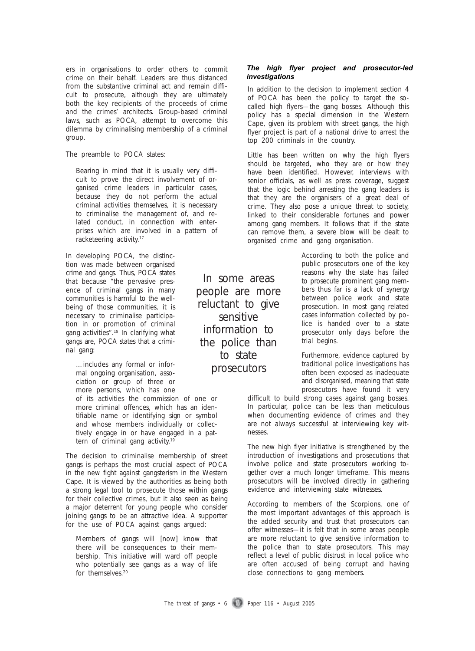ers in organisations to order others to commit crime on their behalf. Leaders are thus distanced from the substantive criminal act and remain difficult to prosecute, although they are ultimately both the key recipients of the proceeds of crime and the crimes' architects. Group-based criminal laws, such as POCA, attempt to overcome this dilemma by criminalising membership of a criminal group.

The preamble to POCA states:

Bearing in mind that it is usually very difficult to prove the direct involvement of organised crime leaders in particular cases, because they do not perform the actual criminal activities themselves, it is necessary to criminalise the management of, and related conduct, in connection with enterprises which are involved in a pattern of racketeering activity.<sup>17</sup>

In developing POCA, the distinction was made between organised crime and gangs. Thus, POCA states that because "the pervasive presence of criminal gangs in many communities is harmful to the wellbeing of those communities, it is necessary to criminalise participation in or promotion of criminal gang activities".18 In clarifying what gangs are, POCA states that a criminal gang:

…includes any formal or informal ongoing organisation, association or group of three or more persons, which has one

of its activities the commission of one or more criminal offences, which has an identifiable name or identifying sign or symbol and whose members individually or collectively engage in or have engaged in a pattern of criminal gang activity.19

The decision to criminalise membership of street gangs is perhaps the most crucial aspect of POCA in the new fight against gangsterism in the Western Cape. It is viewed by the authorities as being both a strong legal tool to prosecute those within gangs for their collective crimes, but it also seen as being a major deterrent for young people who consider joining gangs to be an attractive idea. A supporter for the use of POCA against gangs argued:

Members of gangs will [now] know that there will be consequences to their membership. This initiative will ward off people who potentially see gangs as a way of life for themselves.<sup>20</sup>

In some areas people are more reluctant to give sensitive information to the police than to state prosecutors

#### *The high flyer project and prosecutor-led The high flyer project and prosecutor-led investigations investigations*

In addition to the decision to implement section 4 of POCA has been the policy to target the socalled high flyers—the gang bosses. Although this policy has a special dimension in the Western Cape, given its problem with street gangs, the high flyer project is part of a national drive to arrest the top 200 criminals in the country.

Little has been written on why the high flyers should be targeted, who they are or how they have been identified. However, interviews with senior officials, as well as press coverage, suggest that the logic behind arresting the gang leaders is that they are the organisers of a great deal of crime. They also pose a unique threat to society, linked to their considerable fortunes and power among gang members. It follows that if the state can remove them, a severe blow will be dealt to organised crime and gang organisation.

> According to both the police and public prosecutors one of the key reasons why the state has failed to prosecute prominent gang members thus far is a lack of synergy between police work and state prosecution. In most gang related cases information collected by police is handed over to a state prosecutor only days before the trial begins.

> Furthermore, evidence captured by traditional police investigations has often been exposed as inadequate and disorganised, meaning that state prosecutors have found it very

difficult to build strong cases against gang bosses. In particular, police can be less than meticulous when documenting evidence of crimes and they are not always successful at interviewing key witnesses.

The new high flyer initiative is strengthened by the introduction of investigations and prosecutions that involve police and state prosecutors working together over a much longer timeframe. This means prosecutors will be involved directly in gathering evidence and interviewing state witnesses.

According to members of the Scorpions, one of the most important advantages of this approach is the added security and trust that prosecutors can offer witnesses—it is felt that in some areas people are more reluctant to give sensitive information to the police than to state prosecutors. This may reflect a level of public distrust in local police who are often accused of being corrupt and having close connections to gang members.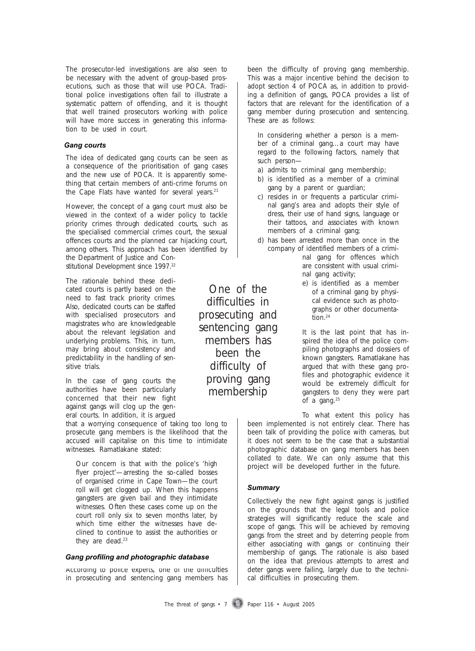The prosecutor-led investigations are also seen to be necessary with the advent of group-based prosecutions, such as those that will use POCA. Traditional police investigations often fail to illustrate a systematic pattern of offending, and it is thought that well trained prosecutors working with police will have more success in generating this information to be used in court.

#### *Gang courts Gang courts*

The idea of dedicated gang courts can be seen as a consequence of the prioritisation of gang cases and the new use of POCA. It is apparently something that certain members of anti-crime forums on the Cape Flats have wanted for several years.<sup>21</sup>

However, the concept of a gang court must also be viewed in the context of a wider policy to tackle priority crimes through dedicated courts, such as the specialised commercial crimes court, the sexual offences courts and the planned car hijacking court, among others. This approach has been identified by the Department of Justice and Constitutional Development since 1997.<sup>22</sup>

The rationale behind these dedicated courts is partly based on the need to fast track priority crimes. Also, dedicated courts can be staffed with specialised prosecutors and magistrates who are knowledgeable about the relevant legislation and underlying problems. This, in turn, may bring about consistency and predictability in the handling of sensitive trials.

In the case of gang courts the authorities have been particularly concerned that their new fight against gangs will clog up the general courts. In addition, it is argued

that a worrying consequence of taking too long to prosecute gang members is the likelihood that the accused will capitalise on this time to intimidate witnesses. Ramatlakane stated:

Our concern is that with the police's 'high flyer project'—arresting the so-called bosses of organised crime in Cape Town—the court roll will get clogged up. When this happens gangsters are given bail and they intimidate witnesses. Often these cases come up on the court roll only six to seven months later, by which time either the witnesses have declined to continue to assist the authorities or they are dead.<sup>23</sup>

#### *Gang profiling and photographic database Gang profiling and photographic database*

According to police experts, one of the difficulties in prosecuting and sentencing gang members has

One of the difficulties in prosecuting and sentencing gang members has been the difficulty of proving gang membership

been the difficulty of proving gang membership. This was a major incentive behind the decision to adopt section 4 of POCA as, in addition to providing a definition of gangs, POCA provides a list of factors that are relevant for the identification of a gang member during prosecution and sentencing. These are as follows:

In considering whether a person is a member of a criminal gang…a court may have regard to the following factors, namely that such person—

a) admits to criminal gang membership;

- b) is identified as a member of a criminal gang by a parent or guardian;
- c) resides in or frequents a particular criminal gang's area and adopts their style of dress, their use of hand signs, language or their tattoos, and associates with known members of a criminal gang;
- d) has been arrested more than once in the company of identified members of a criminal gang for offences which are consistent with usual criminal gang activity;
	- e) is identified as a member of a criminal gang by physical evidence such as photographs or other documentation.<sup>24</sup>

It is the last point that has inspired the idea of the police compiling photographs and dossiers of known gangsters. Ramatlakane has argued that with these gang profiles and photographic evidence it would be extremely difficult for gangsters to deny they were part of a gang.25

To what extent this policy has been implemented is not entirely clear. There has been talk of providing the police with cameras, but it does not seem to be the case that a substantial photographic database on gang members has been collated to date. We can only assume that this project will be developed further in the future.

#### *Summary Summary*

Collectively the new fight against gangs is justified on the grounds that the legal tools and police strategies will significantly reduce the scale and scope of gangs. This will be achieved by removing gangs from the street and by deterring people from either associating with gangs or continuing their membership of gangs. The rationale is also based on the idea that previous attempts to arrest and deter gangs were failing, largely due to the technical difficulties in prosecuting them.

The threat of gangs  $\cdot$  7 Paper 116  $\cdot$  August 2005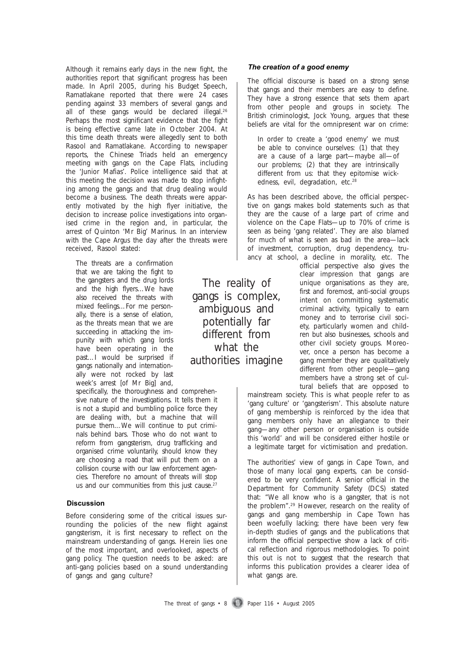Although it remains early days in the new fight, the authorities report that significant progress has been made. In April 2005, during his Budget Speech, Ramatlakane reported that there were 24 cases pending against 33 members of several gangs and all of these gangs would be declared illegal.<sup>26</sup> Perhaps the most significant evidence that the fight is being effective came late in October 2004. At this time death threats were allegedly sent to both Rasool and Ramatlakane. According to newspaper reports, the Chinese Triads held an emergency meeting with gangs on the Cape Flats, including the 'Junior Mafias'. Police intelligence said that at this meeting the decision was made to stop infighting among the gangs and that drug dealing would become a business. The death threats were apparently motivated by the high flyer initiative, the decision to increase police investigations into organised crime in the region and, in particular, the arrest of Quinton 'Mr Big' Marinus. In an interview with the *Cape Argus* the day after the threats were received, Rasool stated:

The threats are a confirmation that we are taking the fight to the gangsters and the drug lords and the high flyers…We have also received the threats with mixed feelings…For me personally, there is a sense of elation, as the threats mean that we are succeeding in attacking the impunity with which gang lords have been operating in the past…I would be surprised if gangs nationally and internationally were not rocked by last week's arrest [of Mr Big] and,

specifically, the thoroughness and comprehensive nature of the investigations. It tells them it is not a stupid and bumbling police force they are dealing with, but a machine that will pursue them…We will continue to put criminals behind bars. Those who do not want to reform from gangsterism, drug trafficking and organised crime voluntarily, should know they are choosing a road that will put them on a collision course with our law enforcement agencies. Therefore no amount of threats will stop us and our communities from this just cause.<sup>27</sup>

#### **Discussion Discussion**

Before considering some of the critical issues surrounding the policies of the new flight against gangsterism, it is first necessary to reflect on the mainstream understanding of gangs. Herein lies one of the most important, and overlooked, aspects of gang policy. The question needs to be asked: are anti-gang policies based on a sound understanding of gangs and gang culture?

*The creation of a good enemy The creation of a good enemy*

The official discourse is based on a strong sense that gangs and their members are easy to define. They have a strong essence that sets them apart from other people and groups in society. The British criminologist, Jock Young, argues that these beliefs are vital for the omnipresent war on crime:

In order to create a 'good enemy' we must be able to convince ourselves: (1) that they are a cause of a large part—maybe all—of our problems; (2) that they are intrinsically different from us: that they epitomise wickedness, evil, degradation, etc.<sup>28</sup>

As has been described above, the official perspective on gangs makes bold statements such as that they are the cause of a large part of crime and violence on the Cape Flats—up to 70% of crime is seen as being 'gang related'. They are also blamed for much of what is seen as bad in the area—lack of investment, corruption, drug dependency, truancy at school, a decline in morality, etc. The

official perspective also gives the clear impression that gangs are unique organisations as they are, first and foremost, anti-social groups intent on committing systematic criminal activity, typically to earn money and to terrorise civil society, particularly women and children but also businesses, schools and other civil society groups. Moreover, once a person has become a gang member they are qualitatively different from other people—gang members have a strong set of cultural beliefs that are opposed to

mainstream society. This is what people refer to as 'gang culture' or 'gangsterism'. This absolute nature of gang membership is reinforced by the idea that gang members only have an allegiance to their gang—any other person or organisation is outside this 'world' and will be considered either hostile or a legitimate target for victimisation and predation.

The authorities' view of gangs in Cape Town, and those of many local gang experts, can be considered to be very confident. A senior official in the Department for Community Safety (DCS) stated that: "We all know who is a gangster, that is not the problem".29 However, research on the reality of gangs and gang membership in Cape Town has been woefully lacking; there have been very few in-depth studies of gangs and the publications that inform the official perspective show a lack of critical reflection and rigorous methodologies. To point this out is not to suggest that the research that informs this publication provides a clearer idea of what gangs are.

The reality of gangs is complex, ambiguous and potentially far different from what the authorities imagine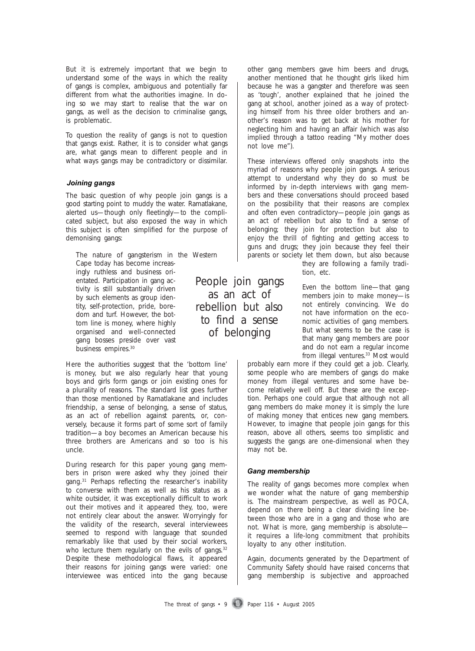But it is extremely important that we begin to understand some of the ways in which the reality of gangs is complex, ambiguous and potentially far different from what the authorities imagine. In doing so we may start to realise that the war on gangs, as well as the decision to criminalise gangs, is problematic.

To question the reality of gangs is not to question that gangs exist. Rather, it is to consider what gangs are, what gangs mean to different people and in what ways gangs may be contradictory or dissimilar.

#### *Joining gangs Joining gangs*

The basic question of why people join gangs is a good starting point to muddy the water. Ramatlakane, alerted us—though only fleetingly—to the complicated subject, but also exposed the way in which this subject is often simplified for the purpose of demonising gangs:

The nature of gangsterism in the Western Cape today has become increasingly ruthless and business orientated. Participation in gang activity is still substantially driven by such elements as group identity, self-protection, pride, boredom and turf. However, the bottom line is money, where highly organised and well-connected gang bosses preside over vast business empires.<sup>30</sup>

Here the authorities suggest that the 'bottom line' is money, but we also regularly hear that young boys and girls form gangs or join existing ones for a plurality of reasons. The standard list goes further than those mentioned by Ramatlakane and includes friendship, a sense of belonging, a sense of status, as an act of rebellion against parents, or, conversely, because it forms part of some sort of family tradition—a boy becomes an American because his three brothers are Americans and so too is his uncle.

During research for this paper young gang members in prison were asked why they joined their gang.<sup>31</sup> Perhaps reflecting the researcher's inability to converse with them as well as his status as a white outsider, it was exceptionally difficult to work out their motives and it appeared they, too, were not entirely clear about the answer. Worryingly for the validity of the research, several interviewees seemed to respond with language that sounded remarkably like that used by their social workers, who lecture them regularly on the evils of gangs.<sup>32</sup> Despite these methodological flaws, it appeared their reasons for joining gangs were varied: one interviewee was enticed into the gang because other gang members gave him beers and drugs, another mentioned that he thought girls liked him because he was a gangster and therefore was seen as 'tough', another explained that he joined the gang at school, another joined as a way of protecting himself from his three older brothers and another's reason was to get back at his mother for neglecting him and having an affair (which was also implied through a tattoo reading "My mother does not love me").

These interviews offered only snapshots into the myriad of reasons why people join gangs. A serious attempt to understand why they do so must be informed by in-depth interviews with gang members and these conversations should proceed based on the possibility that their reasons are complex and often even contradictory—people join gangs as an act of rebellion but also to find a sense of belonging; they join for protection but also to enjoy the thrill of fighting and getting access to guns and drugs; they join because they feel their parents or society let them down, but also because

they are following a family tradition, etc.

Even the bottom line—that gang members join to make money—is not entirely convincing. We do not have information on the economic activities of gang members. But what seems to be the case is that many gang members are poor and do not earn a regular income from illegal ventures.<sup>33</sup> Most would

probably earn more if they could get a job. Clearly, some people who are members of gangs do make money from illegal ventures and some have become relatively well off. But these are the exception. Perhaps one could argue that although not all gang members do make money it is simply the lure of making money that entices new gang members. However, to imagine that people join gangs for this reason, above all others, seems too simplistic and suggests the gangs are one-dimensional when they may not be.

#### *Gang membership Gang membership*

The reality of gangs becomes more complex when we wonder what the nature of gang membership is. The mainstream perspective, as well as POCA, depend on there being a clear dividing line between those who are in a gang and those who are not. What is more, gang membership is absolute it requires a life-long commitment that prohibits loyalty to any other institution.

Again, documents generated by the Department of Community Safety should have raised concerns that gang membership is subjective and approached

The threat of gangs  $\cdot$  9 Paper 116  $\cdot$  August 2005

People join gangs as an act of rebellion but also to find a sense of belonging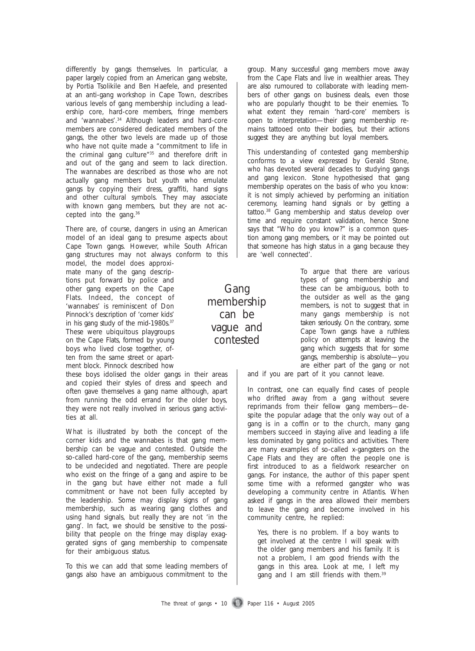differently by gangs themselves. In particular, a paper largely copied from an American gang website, by Portia Tsolikile and Ben Haefele, and presented at an anti-gang workshop in Cape Town, describes various levels of gang membership including a leadership core, hard-core members, fringe members and 'wannabes'.34 Although leaders and hard-core members are considered dedicated members of the gangs, the other two levels are made up of those who have not quite made a "commitment to life in the criminal gang culture"35 and therefore drift in and out of the gang and seem to lack direction. The wannabes are described as those who are not actually gang members but youth who emulate gangs by copying their dress, graffiti, hand signs and other cultural symbols. They may associate with known gang members, but they are not accepted into the gang.36

There are, of course, dangers in using an American model of an ideal gang to presume aspects about Cape Town gangs. However, while South African gang structures may not always conform to this

model, the model does approximate many of the gang descriptions put forward by police and other gang experts on the Cape Flats. Indeed, the concept of 'wannabes' is reminiscent of Don Pinnock's description of 'corner kids' in his gang study of the mid-1980s.<sup>37</sup> These were ubiquitous playgroups on the Cape Flats, formed by young boys who lived close together, often from the same street or apartment block. Pinnock described how

these boys idolised the older gangs in their areas and copied their styles of dress and speech and often gave themselves a gang name although, apart from running the odd errand for the older boys, they were not really involved in serious gang activities at all.

What is illustrated by both the concept of the corner kids and the wannabes is that gang membership can be vague and contested. Outside the so-called hard-core of the gang, membership seems to be undecided and negotiated. There are people who exist on the fringe of a gang and aspire to be in the gang but have either not made a full commitment or have not been fully accepted by the leadership. Some may display signs of gang membership, such as wearing gang clothes and using hand signals, but really they are not 'in the gang'. In fact, we should be sensitive to the possibility that people on the fringe may display exaggerated signs of gang membership to compensate for their ambiguous status.

To this we can add that some leading members of gangs also have an ambiguous commitment to the

group. Many successful gang members move away from the Cape Flats and live in wealthier areas. They are also rumoured to collaborate with leading members of other gangs on business deals, even those who are popularly thought to be their enemies. To what extent they remain 'hard-core' members is open to interpretation—their gang membership remains tattooed onto their bodies, but their actions suggest they are anything but loyal members.

This understanding of contested gang membership conforms to a view expressed by Gerald Stone, who has devoted several decades to studying gangs and gang lexicon. Stone hypothesised that gang membership operates on the basis of who you know: it is not simply achieved by performing an initiation ceremony, learning hand signals or by getting a tattoo.38 Gang membership and status develop over time and require constant validation, hence Stone says that "Who do you know?" is a common question among gang members, or it may be pointed out that someone has high status in a gang because they are 'well connected'.

> To argue that there are various types of gang membership and these can be ambiguous, both to the outsider as well as the gang members, is not to suggest that in many gangs membership is not taken seriously. On the contrary, some Cape Town gangs have a ruthless policy on attempts at leaving the gang which suggests that for some gangs, membership is absolute—you are either part of the gang or not

and if you are part of it you cannot leave.

In contrast, one can equally find cases of people who drifted away from a gang without severe reprimands from their fellow gang members—despite the popular adage that the only way out of a gang is in a coffin or to the church, many gang members succeed in staying alive and leading a life less dominated by gang politics and activities. There are many examples of so-called x-gangsters on the Cape Flats and they are often the people one is first introduced to as a fieldwork researcher on gangs. For instance, the author of this paper spent some time with a reformed gangster who was developing a community centre in Atlantis. When asked if gangs in the area allowed their members to leave the gang and become involved in his community centre, he replied:

Yes, there is no problem. If a boy wants to get involved at the centre I will speak with the older gang members and his family. It is not a problem, I am good friends with the gangs in this area. Look at me, I left my gang and I am still friends with them.<sup>39</sup>

Gang membership can be vague and contested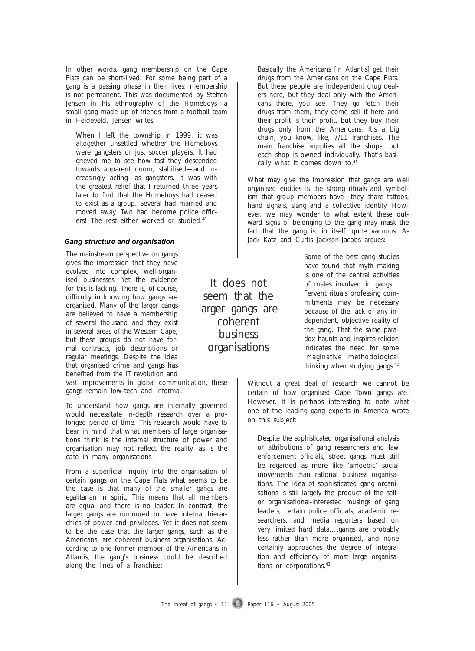In other words, gang membership on the Cape Flats can be short-lived. For some being part of a gang is a passing phase in their lives; membership is not permanent. This was documented by Steffen Jensen in his ethnography of the Homeboys—a small gang made up of friends from a football team in Heideveld. Jensen writes:

When I left the township in 1999, it was altogether unsettled whether the Homeboys were gangsters or just soccer players. It had grieved me to see how fast they descended towards apparent doom, stabilised—and increasingly acting—as gangsters. It was with the greatest relief that I returned three years later to find that the Homeboys had ceased to exist as a group. Several had married and moved away. Two had become police officers! The rest either worked or studied.<sup>40</sup>

#### *Gang structure and organisation Gang structure and organisation*

The mainstream perspective on gangs gives the impression that they have evolved into complex, well-organised businesses. Yet the evidence for this is lacking. There is, of course, difficulty in knowing how gangs are organised. Many of the larger gangs are believed to have a membership of several thousand and they exist in several areas of the Western Cape, but these groups do not have formal contracts, job descriptions or regular meetings. Despite the idea that organised crime and gangs has benefited from the IT revolution and

vast improvements in global communication, these gangs remain low-tech and informal.

To understand how gangs are internally governed would necessitate in-depth research over a prolonged period of time. This research would have to bear in mind that what members of large organisations think is the internal structure of power and organisation may not reflect the reality, as is the case in many organisations.

From a superficial inquiry into the organisation of certain gangs on the Cape Flats what seems to be the case is that many of the smaller gangs are egalitarian in spirit. This means that all members are equal and there is no leader. In contrast, the larger gangs are rumoured to have internal hierarchies of power and privileges. Yet it does not seem to be the case that the larger gangs, such as the Americans, are coherent business organisations. According to one former member of the Americans in Atlantis, the gang's business could be described along the lines of a franchise:

Basically the Americans [in Atlantis] get their drugs from the Americans on the Cape Flats. But these people are independent drug dealers here, but they deal only with the Americans there, you see. They go fetch their drugs from them, they come sell it here and their profit is their profit, but they buy their drugs only from the Americans. It's a big chain, you know, like, 7/11 franchises. The main franchise supplies all the shops, but each shop is owned individually. That's basically what it comes down to.<sup>41</sup>

What may give the impression that gangs are well organised entities is the strong rituals and symbolism that group members have—they share tattoos, hand signals, slang and a collective identity. However, we may wonder to what extent these outward signs of belonging to the gang may mask the fact that the gang is, in itself, quite vacuous. As Jack Katz and Curtis Jackson-Jacobs argues:

> Some of the best gang studies have found that myth making is one of the central activities of males involved in gangs… Fervent rituals professing commitments may be necessary because of the lack of any independent, objective reality of the gang. That the same paradox haunts and inspires religion indicates the need for some imaginative methodological thinking when studying gangs.<sup>42</sup>

Without a great deal of research we cannot be certain of how organised Cape Town gangs are. However, it is perhaps interesting to note what one of the leading gang experts in America wrote on this subject:

Despite the sophisticated organisational analysis or attributions of gang researchers and law enforcement officials, street gangs must still be regarded as more like 'amoebic' social movements than rational business organisations. The idea of sophisticated gang organisations is still largely the product of the selfor organisational-interested musings of gang leaders, certain police officials, academic researchers, and media reporters based on very limited hard data….gangs are probably less rather than more organised, and none certainly approaches the degree of integration and efficiency of most large organisations or corporations.<sup>43</sup>

It does not seem that the larger gangs are coherent business organisations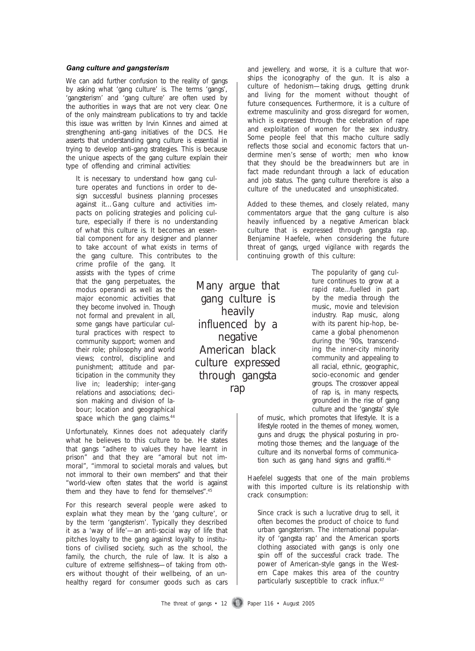#### *Gang culture and gangsterism Gang culture and gangsterism*

We can add further confusion to the reality of gangs by asking what 'gang culture' is. The terms 'gangs', 'gangsterism' and 'gang culture' are often used by the authorities in ways that are not very clear. One of the only mainstream publications to try and tackle this issue was written by Irvin Kinnes and aimed at strengthening anti-gang initiatives of the DCS. He asserts that understanding gang culture is essential in trying to develop anti-gang strategies. This is because the unique aspects of the gang culture explain their type of offending and criminal activities:

It is necessary to understand how gang culture operates and functions in order to design successful business planning processes against it…Gang culture and activities impacts on policing strategies and policing culture, especially if there is no understanding of what this culture is. It becomes an essential component for any designer and planner to take account of what exists in terms of the gang culture. This contributes to the

crime profile of the gang. It assists with the types of crime that the gang perpetuates, the *modus operandi* as well as the major economic activities that they become involved in. Though not formal and prevalent in all, some gangs have particular cultural practices with respect to community support; women and their role; philosophy and world views; control, discipline and punishment; attitude and participation in the community they live in; leadership; inter-gang relations and associations; decision making and division of labour; location and geographical space which the gang claims.<sup>44</sup>

Unfortunately, Kinnes does not adequately clarify what he believes to this culture to be. He states that gangs "adhere to values they have learnt in prison" and that they are "amoral but not immoral", "immoral to societal morals and values, but not immoral to their own members" and that their "world-view often states that the world is against them and they have to fend for themselves".45

For this research several people were asked to explain what they mean by the 'gang culture', or by the term 'gangsterism'. Typically they described it as a 'way of life'—an anti-social way of life that pitches loyalty to the gang against loyalty to institutions of civilised society, such as the school, the family, the church, the rule of law. It is also a culture of extreme selfishness—of taking from others without thought of their wellbeing, of an unhealthy regard for consumer goods such as cars and jewellery, and worse, it is a culture that worships the iconography of the gun. It is also a culture of hedonism—taking drugs, getting drunk and living for the moment without thought of future consequences. Furthermore, it is a culture of extreme masculinity and gross disregard for women, which is expressed through the celebration of rape and exploitation of women for the sex industry. Some people feel that this macho culture sadly reflects those social and economic factors that undermine men's sense of worth; men who know that they should be the breadwinners but are in fact made redundant through a lack of education and job status. The gang culture therefore is also a culture of the uneducated and unsophisticated.

Added to these themes, and closely related, many commentators argue that the gang culture is also heavily influenced by a negative American black culture that is expressed through gangsta rap. Benjamine Haefele, when considering the future threat of gangs, urged vigilance with regards the continuing growth of this culture:

> The popularity of gang culture continues to grow at a rapid rate...fuelled in part by the media through the music, movie and television industry. Rap music, along with its parent hip-hop, became a global phenomenon during the '90s, transcending the inner-city minority community and appealing to all racial, ethnic, geographic, socio-economic and gender groups. The crossover appeal of rap is, in many respects, grounded in the rise of gang culture and the 'gangsta' style

of music, which promotes that lifestyle. It is a lifestyle rooted in the themes of money, women, guns and drugs; the physical posturing in promoting those themes; and the language of the culture and its nonverbal forms of communication such as gang hand signs and graffiti.<sup>46</sup>

Haefelel suggests that one of the main problems with this imported culture is its relationship with crack consumption:

Since crack is such a lucrative drug to sell, it often becomes the product of choice to fund urban gangsterism. The international popularity of 'gangsta rap' and the American sports clothing associated with gangs is only one spin off of the successful crack trade. The power of American-style gangs in the Western Cape makes this area of the country particularly susceptible to crack influx.<sup>47</sup>

gang culture is heavily influenced by a negative American black culture expressed through gangsta rap

Many argue that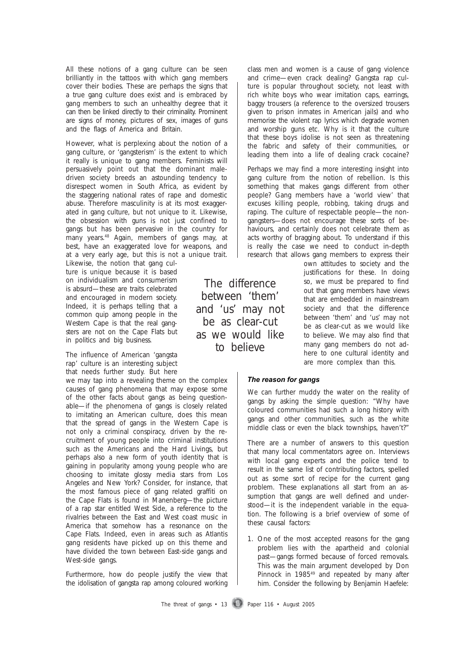All these notions of a gang culture can be seen brilliantly in the tattoos with which gang members cover their bodies. These are perhaps the signs that a true gang culture does exist and is embraced by gang members to such an unhealthy degree that it can then be linked directly to their criminality. Prominent are signs of money, pictures of sex, images of guns and the flags of America and Britain.

However, what is perplexing about the notion of a gang culture, or 'gangsterism' is the extent to which it really is unique to gang members. Feminists will persuasively point out that the dominant maledriven society breeds an astounding tendency to disrespect women in South Africa, as evident by the staggering national rates of rape and domestic abuse. Therefore masculinity is at its most exaggerated in gang culture, but not unique to it. Likewise, the obsession with guns is not just confined to gangs but has been pervasive in the country for many years.48 Again, members of gangs may, at best, have an exaggerated love for weapons, and

at a very early age, but this is not a unique trait. Likewise, the notion that gang culture is unique because it is based on individualism and consumerism is absurd—these are traits celebrated and encouraged in modern society. Indeed, it is perhaps telling that a common quip among people in the Western Cape is that the real gangsters are not on the Cape Flats but in politics and big business.

The influence of American 'gangsta rap' culture is an interesting subject that needs further study. But here

we may tap into a revealing theme on the complex causes of gang phenomena that may expose some of the other facts about gangs as being questionable—if the phenomena of gangs is closely related to imitating an American culture, does this mean that the spread of gangs in the Western Cape is not only a criminal conspiracy, driven by the recruitment of young people into criminal institutions such as the Americans and the Hard Livings, but perhaps also a new form of youth identity that is gaining in popularity among young people who are choosing to imitate glossy media stars from Los Angeles and New York? Consider, for instance, that the most famous piece of gang related graffiti on the Cape Flats is found in Manenberg—the picture of a rap star entitled West Side, a reference to the rivalries between the East and West coast music in America that somehow has a resonance on the Cape Flats. Indeed, even in areas such as Atlantis gang residents have picked up on this theme and have divided the town between East-side gangs and West-side gangs.

Furthermore, how do people justify the view that the idolisation of gangsta rap among coloured working class men and women is a cause of gang violence and crime—even crack dealing? Gangsta rap culture is popular throughout society, not least with rich white boys who wear imitation caps, earrings, baggy trousers (a reference to the oversized trousers given to prison inmates in American jails) and who memorise the violent rap lyrics which degrade women and worship guns etc. Why is it that the culture that these boys idolise is not seen as threatening the fabric and safety of their communities, or leading them into a life of dealing crack cocaine?

Perhaps we may find a more interesting insight into gang culture from the notion of rebellion. Is this something that makes gangs different from other people? Gang members have a 'world view' that excuses killing people, robbing, taking drugs and raping. The culture of respectable people—the nongangsters—does not encourage these sorts of behaviours, and certainly does not celebrate them as acts worthy of bragging about. To understand if this is really the case we need to conduct in-depth research that allows gang members to express their

own attitudes to society and the justifications for these. In doing so, we must be prepared to find out that gang members have views that are embedded in mainstream society and that the difference between 'them' and 'us' may not be as clear-cut as we would like to believe. We may also find that many gang members do not adhere to one cultural identity and are more complex than this.

*The reason for gangs The reason for gangs*

We can further muddy the water on the reality of gangs by asking the simple question: "Why have coloured communities had such a long history with gangs and other communities, such as the white middle class or even the black townships, haven't?"

There are a number of answers to this question that many local commentators agree on. Interviews with local gang experts and the police tend to result in the same list of contributing factors, spelled out as some sort of recipe for the current gang problem. These explanations all start from an assumption that gangs are well defined and understood—it is the independent variable in the equation. The following is a brief overview of some of these causal factors:

1. One of the most accepted reasons for the gang problem lies with the apartheid and colonial past—gangs formed because of forced removals. This was the main argument developed by Don Pinnock in 1985<sup>49</sup> and repeated by many after him. Consider the following by Benjamin Haefele:

The threat of gangs  $\cdot$  13 Paper 116  $\cdot$  August 2005

between 'them' and 'us' may not be as clear-cut as we would like to believe

The difference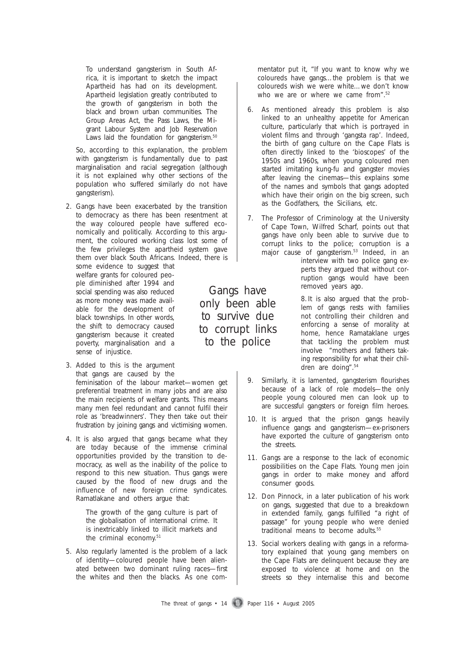To understand gangsterism in South Africa, it is important to sketch the impact Apartheid has had on its development. Apartheid legislation greatly contributed to the growth of gangsterism in both the black and brown urban communities. The Group Areas Act, the Pass Laws, the Migrant Labour System and Job Reservation Laws laid the foundation for gangsterism.<sup>50</sup>

So, according to this explanation, the problem with gangsterism is fundamentally due to past marginalisation and racial segregation (although it is not explained why other sections of the population who suffered similarly do not have gangsterism).

2. Gangs have been exacerbated by the transition to democracy as there has been resentment at the way coloured people have suffered economically and politically. According to this argument, the coloured working class lost some of the few privileges the apartheid system gave them over black South Africans. Indeed, there is

some evidence to suggest that welfare grants for coloured people diminished after 1994 and social spending was also reduced as more money was made available for the development of black townships. In other words, the shift to democracy caused gangsterism because it created poverty, marginalisation and a sense of injustice.

- 3. Added to this is the argument that gangs are caused by the feminisation of the labour market—women get preferential treatment in many jobs and are also the main recipients of welfare grants. This means many men feel redundant and cannot fulfil their role as 'breadwinners'. They then take out their frustration by joining gangs and victimising women.
- 4. It is also argued that gangs became what they are today because of the immense criminal opportunities provided by the transition to democracy, as well as the inability of the police to respond to this new situation. Thus gangs were caused by the flood of new drugs and the influence of new foreign crime syndicates. Ramatlakane and others argue that:

The growth of the gang culture is part of the globalisation of international crime. It is inextricably linked to illicit markets and the criminal economy.<sup>51</sup>

5. Also regularly lamented is the problem of a lack of identity—coloured people have been alienated between two dominant ruling races—first the whites and then the blacks. As one com-

mentator put it, "If you want to know why we coloureds have gangs…the problem is that we coloureds wish we were white…we don't know who we are or where we came from".<sup>52</sup>

- 6. As mentioned already this problem is also linked to an unhealthy appetite for American culture, particularly that which is portrayed in violent films and through 'gangsta rap'. Indeed, the birth of gang culture on the Cape Flats is often directly linked to the 'bioscopes' of the 1950s and 1960s, when young coloured men started imitating kung-fu and gangster movies after leaving the cinemas—this explains some of the names and symbols that gangs adopted which have their origin on the big screen, such as the Godfathers, the Sicilians, etc.
- 7. The Professor of Criminology at the University of Cape Town, Wilfred Scharf, points out that gangs have only been able to survive due to corrupt links to the police; corruption is a major cause of gangsterism.<sup>53</sup> Indeed, in an interview with two police gang experts they argued that without corruption gangs would have been removed years ago.

8. It is also argued that the problem of gangs rests with families not controlling their children and enforcing a sense of morality at home, hence Ramataklane urges that tackling the problem must involve "mothers and fathers taking responsibility for what their children are doing".54

- 9. Similarly, it is lamented, gangsterism flourishes because of a lack of role models—the only people young coloured men can look up to are successful gangsters or foreign film heroes.
- 10. It is argued that the prison gangs heavily influence gangs and gangsterism—ex-prisoners have exported the culture of gangsterism onto the streets.
- 11. Gangs are a response to the lack of economic possibilities on the Cape Flats. Young men join gangs in order to make money and afford consumer goods.
- 12. Don Pinnock, in a later publication of his work on gangs, suggested that due to a breakdown in extended family, gangs fulfilled "a right of passage" for young people who were denied traditional means to become adults.<sup>55</sup>
- 13. Social workers dealing with gangs in a reformatory explained that young gang members on the Cape Flats are delinquent because they are exposed to violence at home and on the streets so they internalise this and become

The threat of gangs  $\cdot$  14 Paper 116  $\cdot$  August 2005

Gangs have only been able to survive due to corrupt links to the police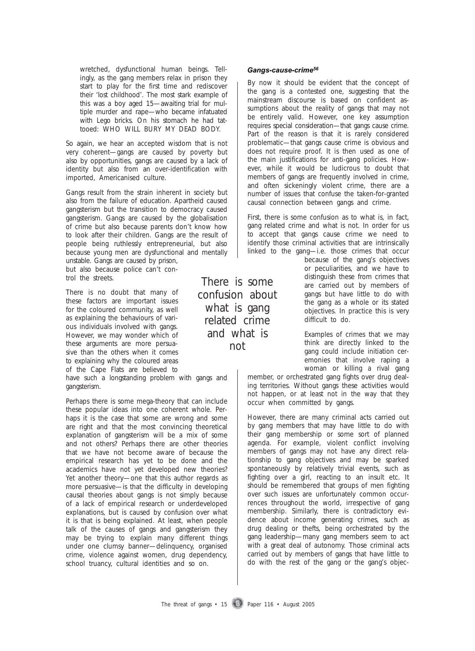wretched, dysfunctional human beings. Tellingly, as the gang members relax in prison they start to play for the first time and rediscover their 'lost childhood'. The most stark example of this was a boy aged 15—awaiting trial for multiple murder and rape—who became infatuated with Lego bricks. On his stomach he had tattooed: WHO WILL BURY MY DEAD BODY.

So again, we hear an accepted wisdom that is not very coherent—gangs are caused by poverty but also by opportunities, gangs are caused by a lack of identity but also from an over-identification with imported, Americanised culture.

Gangs result from the strain inherent in society but also from the failure of education. Apartheid caused gangsterism but the transition to democracy caused gangsterism. Gangs are caused by the globalisation of crime but also because parents don't know how to look after their children. Gangs are the result of people being ruthlessly entrepreneurial, but also because young men are dysfunctional and mentally unstable. Gangs are caused by prison,

but also because police can't control the streets.

There is no doubt that many of these factors are important issues for the coloured community, as well as explaining the behaviours of various individuals involved with gangs. However, we may wonder which of these arguments are more persuasive than the others when it comes to explaining why the coloured areas of the Cape Flats are believed to

have such a longstanding problem with gangs and gangsterism.

Perhaps there is some mega-theory that can include these popular ideas into one coherent whole. Perhaps it is the case that some are wrong and some are right and that the most convincing theoretical explanation of gangsterism will be a mix of some and not others? Perhaps there are other theories that we have not become aware of because the empirical research has yet to be done and the academics have not yet developed new theories? Yet another theory—one that this author regards as more persuasive—is that the difficulty in developing causal theories about gangs is not simply because of a lack of empirical research or underdeveloped explanations, but is caused by confusion over what it is that is being explained. At least, when people talk of the causes of gangs and gangsterism they may be trying to explain many different things under one clumsy banner—delinquency, organised crime, violence against women, drug dependency, school truancy, cultural identities and so on.

There is some confusion about what is gang related crime and what is not

#### *Gangs-cause-crime<sup>56</sup> Gangs-cause-crime56*

By now it should be evident that the concept of the gang is a contested one, suggesting that the mainstream discourse is based on confident assumptions about the reality of gangs that may not be entirely valid. However, one key assumption requires special consideration—that gangs cause crime. Part of the reason is that it is rarely considered problematic—that gangs cause crime is obvious and does not require proof. It is then used as one of the main justifications for anti-gang policies. However, while it would be ludicrous to doubt that members of gangs are frequently *involved* in crime, and often sickeningly violent crime, there are a number of issues that confuse the taken-for-granted causal connection between gangs and crime.

First, there is some confusion as to what is, in fact, gang related crime and what is not. In order for us to accept that gangs cause crime we need to identify those criminal activities that are intrinsically linked to the gang—i.e. those crimes that occur

> because of the gang's objectives or peculiarities, and we have to distinguish these from crimes that are carried out by members of gangs but have little to do with the gang as a whole or its stated objectives. In practice this is very difficult to do.

> Examples of crimes that we may think are directly linked to the gang could include initiation ceremonies that involve raping a woman or killing a rival gang

member, or orchestrated gang fights over drug dealing territories. Without gangs these activities would not happen, or at least not in the way that they occur when committed by gangs.

However, there are many criminal acts carried out by gang members that may have little to do with their gang membership or some sort of planned agenda. For example, violent conflict involving members of gangs may not have any direct relationship to gang objectives and may be sparked spontaneously by relatively trivial events, such as fighting over a girl, reacting to an insult etc. It should be remembered that groups of men fighting over such issues are unfortunately common occurrences throughout the world, irrespective of gang membership. Similarly, there is contradictory evidence about income generating crimes, such as drug dealing or thefts, being orchestrated by the gang leadership—many gang members seem to act with a great deal of autonomy. Those criminal acts carried out by members of gangs that have little to do with the rest of the gang or the gang's objec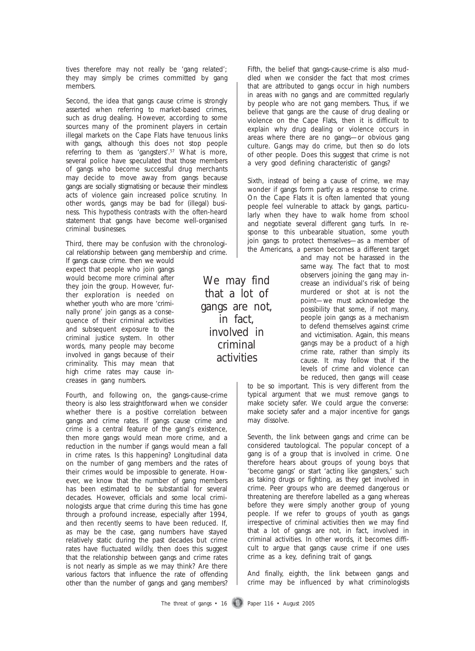tives therefore may not really be 'gang related'; they may simply be crimes committed by gang members.

Second, the idea that gangs cause crime is strongly asserted when referring to market-based crimes, such as drug dealing. However, according to some sources many of the prominent players in certain illegal markets on the Cape Flats have tenuous links with gangs, although this does not stop people referring to them as 'gangsters'.<sup>57</sup> What is more, several police have speculated that those members of gangs who become successful drug merchants may decide to move away from gangs because gangs are socially stigmatising or because their mindless acts of violence gain increased police scrutiny. In other words, gangs may be bad for (illegal) business. This hypothesis contrasts with the often-heard statement that gangs have become well-organised criminal businesses.

Third, there may be confusion with the chronological relationship between gang membership and crime.

If gangs cause crime. then we would expect that people who join gangs would become more criminal after they join the group. However, further exploration is needed on whether youth who are more 'criminally prone' join gangs as a consequence of their criminal activities and subsequent exposure to the criminal justice system. In other words, many people may become involved in gangs because of their criminality. This may mean that high crime rates may cause increases in gang numbers.

Fourth, and following on, the gangs-cause-crime theory is also less straightforward when we consider whether there is a positive correlation between gangs and crime rates. If gangs cause crime and crime is a central feature of the gang's existence, then more gangs would mean more crime, and a reduction in the number if gangs would mean a fall in crime rates. Is this happening? Longitudinal data on the number of gang members and the rates of their crimes would be impossible to generate. However, we know that the number of gang members has been estimated to be substantial for several decades. However, officials and some local criminologists argue that crime during this time has gone through a profound increase, especially after 1994, and then recently seems to have been reduced. If, as may be the case, gang numbers have stayed relatively static during the past decades but crime rates have fluctuated wildly, then does this suggest that the relationship between gangs and crime rates is not nearly as simple as we may think? Are there various factors that influence the rate of offending other than the number of gangs and gang members?

by people who are not gang members. Thus, if we believe that gangs are the cause of drug dealing or violence on the Cape Flats, then it is difficult to explain why drug dealing or violence occurs in areas where there are no gangs—or obvious gang culture. Gangs may do crime, but then so do lots of other people. Does this suggest that crime is not a very good defining characteristic of gangs? Sixth, instead of being a cause of crime, we may

Fifth, the belief that gangs-cause-crime is also muddled when we consider the fact that most crimes that are attributed to gangs occur in high numbers in areas with no gangs and are committed regularly

wonder if gangs form partly as a response to crime. On the Cape Flats it is often lamented that young people feel vulnerable to attack by gangs, particularly when they have to walk home from school and negotiate several different gang turfs. In response to this unbearable situation, some youth join gangs to protect themselves—as a member of the Americans, a person becomes a different target

> and may not be harassed in the same way. The fact that to most observers joining the gang may increase an individual's risk of being murdered or shot at is not the point—we must acknowledge the possibility that some, if not many, people join gangs as a mechanism to defend themselves against crime and victimisation. Again, this means gangs may be a product of a high crime rate, rather than simply its cause*.* It may follow that if the levels of crime and violence can be reduced, then gangs will cease

to be so important. This is very different from the typical argument that we must remove gangs to make society safer. We could argue the converse: make society safer and a major incentive for gangs may dissolve.

Seventh, the link between gangs and crime can be considered tautological. The popular concept of a gang is of a group that is involved in crime. One therefore hears about groups of young boys that 'become gangs' or start 'acting like gangsters,' such as taking drugs or fighting, as they get involved in crime. Peer groups who are deemed dangerous or threatening are therefore labelled as a gang whereas before they were simply another group of young people. If we refer to groups of youth as gangs irrespective of criminal activities then we may find that a lot of gangs are not, in fact, involved in criminal activities. In other words, it becomes difficult to argue that gangs cause crime if one uses crime as a key, defining trait of gangs.

And finally, eighth, the link between gangs and crime may be influenced by what criminologists

We may find that a lot of gangs are not, in fact, involved in criminal activities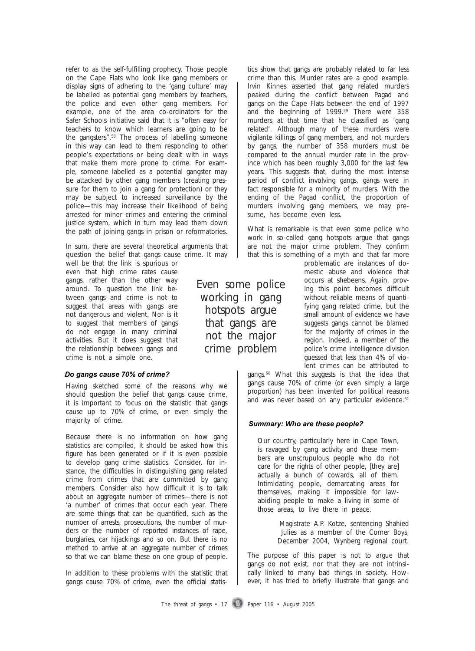refer to as the self-fulfilling prophecy. Those people on the Cape Flats who look like gang members or display signs of adhering to the 'gang culture' may be labelled as potential gang members by teachers, the police and even other gang members. For example, one of the area co-ordinators for the Safer Schools initiative said that it is "often easy for teachers to know which learners are going to be the gangsters".58 The process of labelling someone in this way can lead to them responding to other people's expectations or being dealt with in ways that make them more prone to crime. For example, someone labelled as a potential gangster may be attacked by other gang members (creating pressure for them to join a gang for protection) or they may be subject to increased surveillance by the police—this may increase their likelihood of being arrested for minor crimes and entering the criminal justice system, which in turn may lead them down the path of joining gangs in prison or reformatories.

In sum, there are several theoretical arguments that question the belief that gangs cause crime. It may

well be that the link is spurious or even that high crime rates cause gangs, rather than the other way around. To question the link between gangs and crime is not to suggest that areas with gangs are not dangerous and violent. Nor is it to suggest that members of gangs do not engage in many criminal activities. But it does suggest that the relationship between gangs and crime is not a simple one.

#### *Do gangs cause 70% of crime? Do gangs cause 70% of crime?*

Having sketched some of the reasons why we should question the belief that gangs cause crime, it is important to focus on the statistic that gangs cause up to 70% of crime, or even simply the majority of crime.

Because there is no information on how gang statistics are compiled, it should be asked how this figure has been generated or if it is even possible to develop gang crime statistics. Consider, for instance, the difficulties in distinguishing gang related crime from crimes that are committed by gang members. Consider also how difficult it is to talk about an aggregate number of crimes—there is not 'a number' of crimes that occur each year. There are some things that can be quantified, such as the number of arrests, prosecutions, the number of murders or the number of reported instances of rape, burglaries, car hijackings and so on. But there is no method to arrive at an aggregate number of crimes so that we can blame these on one group of people.

In addition to these problems with the statistic that gangs cause 70% of crime, even the official statistics show that gangs are probably related to far less crime than this. Murder rates are a good example. Irvin Kinnes asserted that gang related murders peaked during the conflict between Pagad and gangs on the Cape Flats between the end of 1997 and the beginning of 1999.59 There were 358 murders at that time that he classified as 'gang related'. Although many of these murders were vigilante killings of gang members, and not murders by gangs, the number of 358 murders must be compared to the annual murder rate in the province which has been roughly 3,000 for the last few years. This suggests that, during the most intense period of conflict involving gangs, gangs were in fact responsible for a minority of murders. With the ending of the Pagad conflict, the proportion of murders involving gang members, we may presume, has become even less.

What is remarkable is that even some police who work in so-called gang hotspots argue that gangs are not the major crime problem. They confirm that this is something of a myth and that far more

problematic are instances of domestic abuse and violence that occurs at shebeens. Again, proving this point becomes difficult without reliable means of quantifying gang related crime, but the small amount of evidence we have suggests gangs cannot be blamed for the majority of crimes in the region. Indeed, a member of the police's crime intelligence division guessed that less than 4% of violent crimes can be attributed to

gangs.<sup>60</sup> What this suggests is that the idea that gangs cause 70% of crime (or even simply a large proportion) has been invented for political reasons and was never based on any particular evidence.<sup>61</sup>

#### *Summary: Who are these people? Summary: Who are these people?*

Even some police working in gang hotspots argue that gangs are not the major crime problem

> Our country, particularly here in Cape Town, is ravaged by gang activity and these members are unscrupulous people who do not care for the rights of other people, [they are] actually a bunch of cowards, all of them. Intimidating people, demarcating areas for themselves, making it impossible for lawabiding people to make a living in some of those areas, to live there in peace.

> > *Magistrate A.P. Kotze, sentencing Shahied Julies as a member of the Corner Boys, December 2004, Wynberg regional court.*

The purpose of this paper is not to argue that gangs do not exist, nor that they are not intrinsically linked to many bad things in society. However, it has tried to briefly illustrate that gangs and

The threat of gangs  $\cdot$  17 Paper 116  $\cdot$  August 2005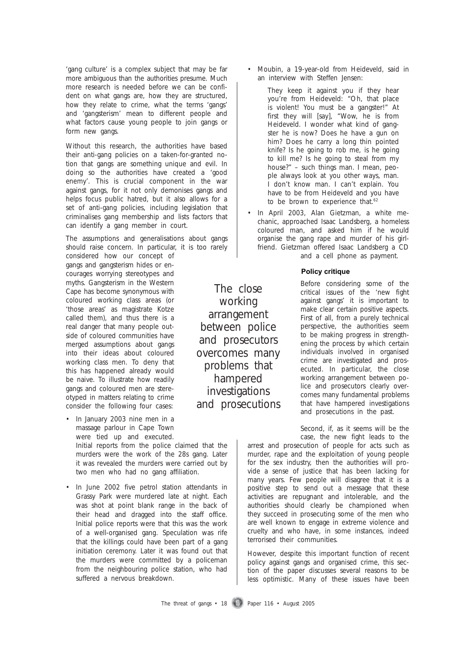'gang culture' is a complex subject that may be far more ambiguous than the authorities presume. Much more research is needed before we can be confident on what gangs are, how they are structured, how they relate to crime, what the terms 'gangs' and 'gangsterism' mean to different people and what factors cause young people to join gangs or form new gangs.

Without this research, the authorities have based their anti-gang policies on a taken-for-granted notion that gangs are something unique and evil. In doing so the authorities have created a 'good enemy'. This is crucial component in the war against gangs, for it not only demonises gangs and helps focus public hatred, but it also allows for a set of anti-gang policies, including legislation that criminalises gang membership and lists factors that can identify a gang member in court.

The assumptions and generalisations about gangs should raise concern. In particular, it is too rarely

considered how our concept of gangs and gangsterism hides or encourages worrying stereotypes and myths. Gangsterism in the Western Cape has become synonymous with coloured working class areas (or 'those areas' as magistrate Kotze called them), and thus there is a real danger that many people outside of coloured communities have merged assumptions about gangs into their ideas about coloured working class men. To deny that this has happened already would be naive. To illustrate how readily gangs and coloured men are stereotyped in matters relating to crime consider the following four cases:

• In January 2003 nine men in a massage parlour in Cape Town were tied up and executed. Initial reports from the police claimed that the

murders were the work of the 28s gang. Later it was revealed the murders were carried out by two men who had no gang affiliation.

• In June 2002 five petrol station attendants in Grassy Park were murdered late at night. Each was shot at point blank range in the back of their head and dragged into the staff office. Initial police reports were that this was the work of a well-organised gang. Speculation was rife that the killings could have been part of a gang initiation ceremony. Later it was found out that the murders were committed by a policeman from the neighbouring police station, who had suffered a nervous breakdown.

• Moubin, a 19-year-old from Heideveld, said in an interview with Steffen Jensen:

They keep it against you if they hear you're from Heideveld: "Oh, that place is violent! You must be a gangster!" At first they will [say], "Wow, he is from Heideveld. I wonder what kind of gangster he is now? Does he have a gun on him? Does he carry a long thin pointed knife? Is he going to rob me, is he going to kill me? Is he going to steal from my house?" – such things man. I mean, people always look at you other ways, man. I don't know man. I can't explain. You have to be from Heideveld and you have to be brown to experience that.<sup>62</sup>

• In April 2003, Alan Gietzman, a white mechanic, approached Isaac Landsberg, a homeless coloured man, and asked him if he would organise the gang rape and murder of his girlfriend. Gietzman offered Isaac Landsberg a CD and a cell phone as payment.

#### **Policy critique Policy critique**

Before considering some of the critical issues of the 'new fight against gangs' it is important to make clear certain positive aspects. First of all, from a purely technical perspective, the authorities seem to be making progress in strengthening the process by which certain individuals involved in organised crime are investigated and prosecuted. In particular, the close working arrangement between police and prosecutors clearly overcomes many fundamental problems that have hampered investigations and prosecutions in the past.

Second, if, as it seems will be the case, the new fight leads to the

arrest and prosecution of people for acts such as murder, rape and the exploitation of young people for the sex industry, then the authorities will provide a sense of justice that has been lacking for many years. Few people will disagree that it is a positive step to send out a message that these activities are repugnant and intolerable, and the authorities should clearly be championed when they succeed in prosecuting some of the men who are well known to engage in extreme violence and cruelty and who have, in some instances, indeed terrorised their communities.

However, despite this important function of recent policy against gangs and organised crime, this section of the paper discusses several reasons to be less optimistic. Many of these issues have been

working arrangement between police and prosecutors overcomes many problems that hampered investigations and prosecutions

The close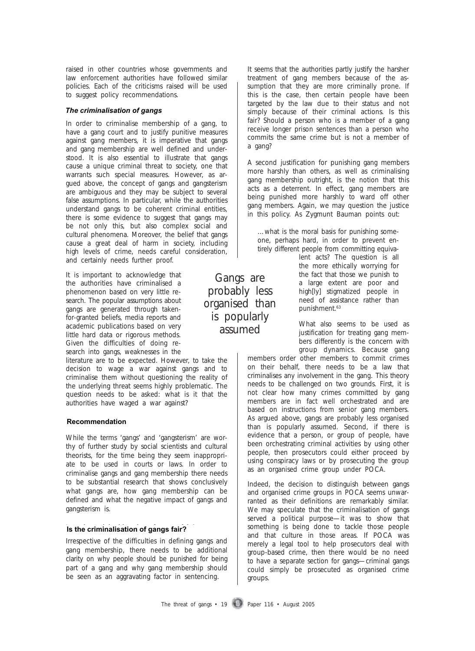raised in other countries whose governments and law enforcement authorities have followed similar policies. Each of the criticisms raised will be used to suggest policy recommendations.

#### *The criminalisation of gangs The criminalisation of gangs*

In order to criminalise membership of a gang, to have a gang court and to justify punitive measures against gang members, it is imperative that gangs and gang membership are well defined and understood. It is also essential to illustrate that gangs cause a unique criminal threat to society, one that warrants such special measures. However, as argued above, the concept of gangs and gangsterism are ambiguous and they may be subject to several false assumptions. In particular, while the authorities understand gangs to be coherent criminal entities, there is some evidence to suggest that gangs may be not only this, but also complex social and cultural phenomena. Moreover, the belief that gangs cause a great deal of harm in society, including high levels of crime, needs careful consideration, and certainly needs further proof.

It is important to acknowledge that the authorities have criminalised a phenomenon based on very little research. The popular assumptions about gangs are generated through takenfor-granted beliefs, media reports and academic publications based on very little hard data or rigorous methods. Given the difficulties of doing research into gangs, weaknesses in the

literature are to be expected. However, to take the decision to wage a war against gangs and to criminalise them without questioning the reality of the underlying threat seems highly problematic. The question needs to be asked: what is it that the authorities have waged a war against?

#### **Recommendation Recommendation**

While the terms 'gangs' and 'gangsterism' are worthy of further study by social scientists and cultural theorists, for the time being they seem inappropriate to be used in courts or laws. In order to criminalise gangs and gang membership there needs to be substantial research that shows conclusively what gangs are, how gang membership can be defined and what the negative impact of gangs and gangsterism is.

#### **Is the criminalisation of gangs fair? Is the criminalisation of gangs fair?**

Irrespective of the difficulties in defining gangs and gang membership, there needs to be additional clarity on why people should be punished for being part of a gang and why gang membership should be seen as an aggravating factor in sentencing.

It seems that the authorities partly justify the harsher treatment of gang members because of the assumption that they are more criminally prone. If this is the case, then certain people have been targeted by the law due to their status and not simply because of their criminal actions. Is this fair? Should a person who is a member of a gang receive longer prison sentences than a person who commits the same crime but is not a member of a gang?

A second justification for punishing gang members more harshly than others, as well as criminalising gang membership outright, is the notion that this acts as a deterrent. In effect, gang members are being punished more harshly to ward off other gang members. Again, we may question the justice in this policy. As Zygmunt Bauman points out:

…what is the moral basis for punishing someone, perhaps hard, in order to prevent entirely different people from committing equiva-

> lent acts? The question is all the more ethically worrying for the fact that those we punish to a large extent are poor and high[ly] stigmatized people in need of assistance rather than punishment.<sup>63</sup>

What also seems to be used as justification for treating gang members differently is the concern with group dynamics. Because gang

members order other members to commit crimes on their behalf, there needs to be a law that criminalises any involvement in the gang. This theory needs to be challenged on two grounds. First, it is not clear how many crimes committed by gang members are in fact well orchestrated and are based on instructions from senior gang members. As argued above, gangs are probably less organised than is popularly assumed. Second, if there is evidence that a person, or group of people, have been orchestrating criminal activities by using other people, then prosecutors could either proceed by using conspiracy laws or by prosecuting the group as an organised crime group under POCA.

Indeed, the decision to distinguish between gangs and organised crime groups in POCA seems unwarranted as their definitions are remarkably similar. We may speculate that the criminalisation of gangs served a political purpose—it was to show that something is being done to tackle *those* people and *that* culture in *those* areas. If POCA was merely a legal tool to help prosecutors deal with group-based crime, then there would be no need to have a separate section for gangs—criminal gangs could simply be prosecuted as organised crime groups.

The threat of gangs • 19 Paper 116 • August 2005

Gangs are probably less organised than is popularly assumed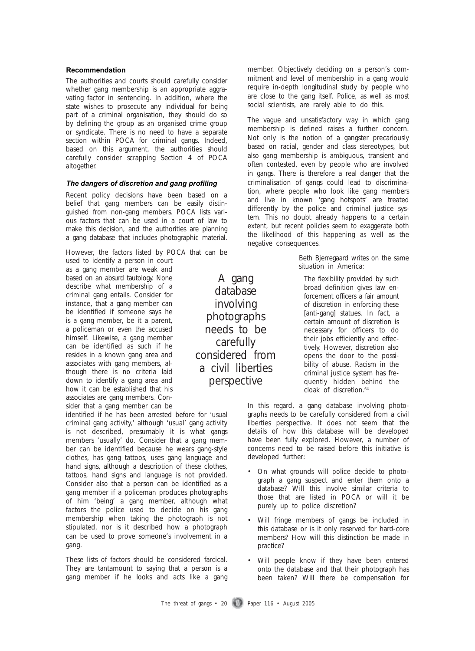#### **Recommendation Recommendation**

The authorities and courts should carefully consider whether gang membership is an appropriate aggravating factor in sentencing. In addition, where the state wishes to prosecute any individual for being part of a criminal organisation, they should do so by defining the group as an organised crime group or syndicate. There is no need to have a separate section within POCA for criminal gangs. Indeed, based on this argument, the authorities should carefully consider scrapping Section 4 of POCA altogether.

#### *The dangers of discretion and gang profiling The dangers of discretion and gang profiling*

Recent policy decisions have been based on a belief that gang members can be easily distinguished from non-gang members. POCA lists various factors that can be used in a court of law to make this decision, and the authorities are planning a gang database that includes photographic material.

However, the factors listed by POCA that can be

used to identify a person in court as a gang member are weak and based on an absurd tautology. None describe what membership of a criminal gang entails. Consider for instance, that a gang member can be identified if someone says he is a gang member, be it a parent, a policeman or even the accused himself. Likewise, a gang member can be identified as such if he resides in a known gang area and associates with gang members, although there is no criteria laid down to identify a gang area and how it can be established that his associates are gang members. Consider that a gang member can be

identified if he has been arrested before for 'usual criminal gang activity,' although 'usual' gang activity is not described, presumably it is what gangs members 'usually' do. Consider that a gang member can be identified because he wears gang-style clothes, has gang tattoos, uses gang language and hand signs, although a description of these clothes, tattoos, hand signs and language is not provided. Consider also that a person can be identified as a gang member if a policeman produces photographs of him 'being' a gang member, although what factors the police used to decide on his gang membership when taking the photograph is not stipulated, nor is it described how a photograph can be used to prove someone's involvement in a gang.

These lists of factors should be considered farcical. They are tantamount to saying that a person is a gang member if he looks and acts like a gang member. Objectively deciding on a person's commitment and level of membership in a gang would require in-depth longitudinal study by people who are close to the gang itself. Police, as well as most social scientists, are rarely able to do this.

The vague and unsatisfactory way in which gang membership is defined raises a further concern. Not only is the notion of a gangster precariously based on racial, gender and class stereotypes, but also gang membership is ambiguous, transient and often contested, even by people who are involved in gangs. There is therefore a real danger that the criminalisation of gangs could lead to discrimination, where people who look like gang members and live in known 'gang hotspots' are treated differently by the police and criminal justice system. This no doubt already happens to a certain extent, but recent policies seem to exaggerate both the likelihood of this happening as well as the negative consequences.

> Beth Bjerregaard writes on the same situation in America:

The flexibility provided by such broad definition gives law enforcement officers a fair amount of discretion in enforcing these [anti-gang] statues. In fact, a certain amount of discretion is necessary for officers to do their jobs efficiently and effectively. However, discretion also opens the door to the possibility of abuse. Racism in the criminal justice system has frequently hidden behind the cloak of discretion.<sup>64</sup>

In this regard, a gang database involving photographs needs to be carefully considered from a civil liberties perspective. It does not seem that the details of how this database will be developed have been fully explored. However, a number of concerns need to be raised before this initiative is developed further:

- On what grounds will police decide to photograph a gang suspect and enter them onto a database? Will this involve similar criteria to those that are listed in POCA or will it be purely up to police discretion?
- Will fringe members of gangs be included in this database or is it only reserved for hard-core members? How will this distinction be made in practice?
- Will people know if they have been entered onto the database and that their photograph has been taken? Will there be compensation for

The threat of gangs  $\cdot$  20 Paper 116  $\cdot$  August 2005

database involving photographs needs to be carefully considered from a civil liberties perspective

A gang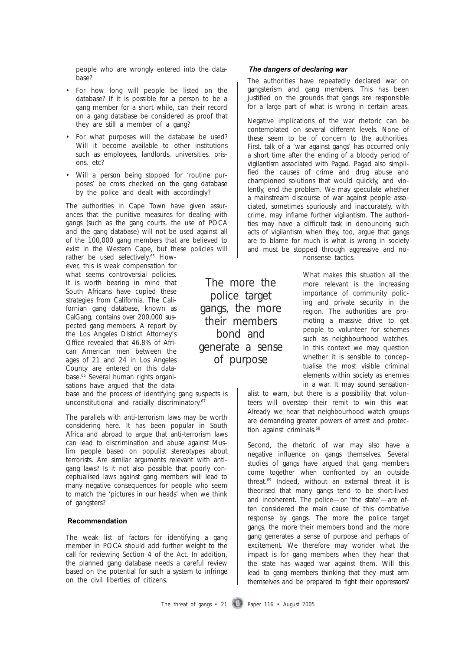people who are wrongly entered into the database?

- For how long will people be listed on the database? If it is possible for a person to be a gang member for a short while, can their record on a gang database be considered as proof that they are still a member of a gang?
- For what purposes will the database be used? Will it become available to other institutions such as employees, landlords, universities, prisons, etc?
- Will a person being stopped for 'routine purposes' be cross checked on the gang database by the police and dealt with accordingly?

The authorities in Cape Town have given assurances that the punitive measures for dealing with gangs (such as the gang courts, the use of POCA and the gang database) will not be used against all of the 100,000 gang members that are believed to exist in the Western Cape, but these policies will

rather be used selectively.<sup>65</sup> However, this is weak compensation for what seems controversial policies. It is worth bearing in mind that South Africans have copied these strategies from California. The Californian gang database, known as CalGang, contains over 200,000 suspected gang members. A report by the Los Angeles District Attorney's Office revealed that 46.8% of African American men between the ages of 21 and 24 in Los Angeles County are entered on this database.<sup>66</sup> Several human rights organisations have argued that the datapoole who are woronly entered into the date<br> **Recommendation The authoritis have repeated**<br> **Example the state of a state of the state of the state of the state of the state of the state of the state of the state while t** 

base and the process of identifying gang suspects is unconstitutional and racially discriminatory.<sup>67</sup>

The parallels with anti-terrorism laws may be worth considering here. It has been popular in South Africa and abroad to argue that anti-terrorism laws can lead to discrimination and abuse against Muslim people based on populist stereotypes about terrorists. Are similar arguments relevant with antigang laws? Is it not also possible that poorly conceptualised laws against gang members will lead to many negative consequences for people who seem to match the 'pictures in our heads' when we think of gangsters?

#### **Recommendation**

The weak list of factors for identifying a gang member in POCA should add further weight to the call for reviewing Section 4 of the Act. In addition, the planned gang database needs a careful review based on the potential for such a system to infringe on the civil liberties of citizens.

#### *The dangers of declaring war*

The authorities have repeatedly declared war on gangsterism and gang members. This has been justified on the grounds that gangs are responsible for a large part of what is wrong in certain areas.

Negative implications of the war rhetoric can be contemplated on several different levels. None of these seem to be of concern to the authorities. First, talk of a 'war against gangs' has occurred only a short time after the ending of a bloody period of vigilantism associated with Pagad. Pagad also simplified the causes of crime and drug abuse and championed solutions that would quickly, and violently, end the problem. We may speculate whether a mainstream discourse of war against people associated, sometimes spuriously and inaccurately, with crime, may inflame further vigilantism. The authorities may have a difficult task in denouncing such acts of vigilantism when they, too, argue that gangs are to blame for much is what is wrong in society and must be stopped through aggressive and no-

nonsense tactics.

What makes this situation all the more relevant is the increasing importance of community policing and private security in the region. The authorities are promoting a massive drive to get people to volunteer for schemes such as neighbourhood watches. In this context we may question whether it is sensible to conceptualise the most visible criminal elements within society as enemies in a war. It may sound sensation-The more the

alist to warn, but there is a possibility that volunteers will overstep their remit to win this war. Already we hear that neighbourhood watch groups are demanding greater powers of arrest and protection against criminals.<sup>68</sup>

Second, the rhetoric of war may also have a negative influence on gangs themselves. Several studies of gangs have argued that gang members come together when confronted by an outside threat.69 Indeed, without an external threat it is theorised that many gangs tend to be short-lived and incoherent. The police—or 'the state'—are often considered the main cause of this combative response by gangs. The more the police target gangs, the more their members bond and the more gang generates a sense of purpose and perhaps of excitement. We therefore may wonder what the impact is for gang members when they hear that the state has waged war against them. Will this lead to gang members thinking that they must arm themselves and be prepared to fight their oppressors?

police target gangs, the more their members bond and generate a sense of purpose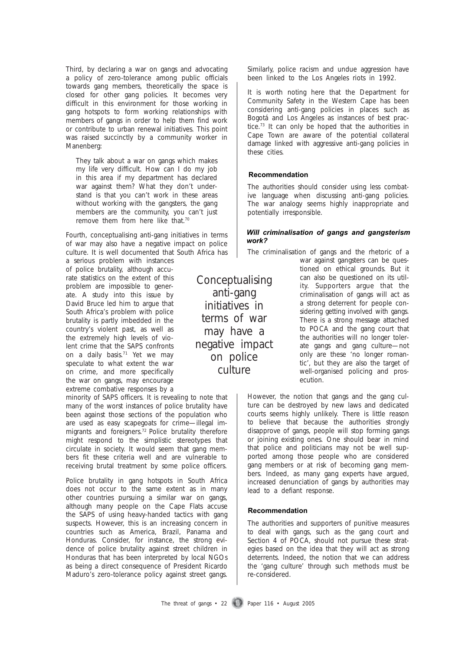Third, by declaring a war on gangs and advocating a policy of zero-tolerance among public officials towards gang members, theoretically the space is closed for other gang policies. It becomes very difficult in this environment for those working in gang hotspots to form working relationships with members of gangs in order to help them find work or contribute to urban renewal initiatives. This point was raised succinctly by a community worker in Manenberg:

They talk about a war on gangs which makes my life very difficult. How can I do my job in this area if my department has declared war against them? What they don't understand is that you can't work in these areas without working with the gangsters, the gang members are the community, you can't just remove them from here like that.70

Fourth, conceptualising anti-gang initiatives in terms of war may also have a negative impact on police culture. It is well documented that South Africa has

a serious problem with instances of police brutality, although accurate statistics on the extent of this problem are impossible to generate. A study into this issue by David Bruce led him to argue that South Africa's problem with police brutality is partly imbedded in the country's violent past, as well as the extremely high levels of violent crime that the SAPS confronts on a daily basis.<sup>71</sup> Yet we may speculate to what extent the war on crime, and more specifically the war on gangs, may encourage extreme combative responses by a

minority of SAPS officers. It is revealing to note that many of the worst instances of police brutality have been against those sections of the population who are used as easy scapegoats for crime—illegal immigrants and foreigners.72 Police brutality therefore might respond to the simplistic stereotypes that circulate in society. It would seem that gang members fit these criteria well and are vulnerable to receiving brutal treatment by some police officers.

Police brutality in gang hotspots in South Africa does not occur to the same extent as in many other countries pursuing a similar war on gangs, although many people on the Cape Flats accuse the SAPS of using heavy-handed tactics with gang suspects. However, this is an increasing concern in countries such as America, Brazil, Panama and Honduras. Consider, for instance, the strong evidence of police brutality against street children in Honduras that has been interpreted by local NGOs as being a direct consequence of President Ricardo Maduro's zero-tolerance policy against street gangs.

Conceptualising anti-gang initiatives in terms of war may have a negative impact

> on police culture

Similarly, police racism and undue aggression have been linked to the Los Angeles riots in 1992.

It is worth noting here that the Department for Community Safety in the Western Cape has been considering anti-gang policies in places such as Bogotá and Los Angeles as instances of best practice.73 It can only be hoped that the authorities in Cape Town are aware of the potential collateral damage linked with aggressive anti-gang policies in these cities.

#### **Recommendation Recommendation**

The authorities should consider using less combative language when discussing anti-gang policies. The war analogy seems highly inappropriate and potentially irresponsible.

#### *Will criminalisation of gangs and gangsterism work? work?*

The criminalisation of gangs and the rhetoric of a

war against gangsters can be questioned on ethical grounds. But it can also be questioned on its utility. Supporters argue that the criminalisation of gangs will act as a strong deterrent for people considering getting involved with gangs. There is a strong message attached to POCA and the gang court that the authorities will no longer tolerate gangs and gang culture—not only are these 'no longer romantic', but they are also the target of well-organised policing and prosecution.

However, the notion that gangs and the gang culture can be destroyed by new laws and dedicated courts seems highly unlikely. There is little reason to believe that because the authorities strongly disapprove of gangs, people will stop forming gangs or joining existing ones. One should bear in mind that police and politicians may not be well supported among those people who are considered gang members or at risk of becoming gang members. Indeed, as many gang experts have argued, increased denunciation of gangs by authorities may lead to a defiant response. **Will criminalisation of gangs and gangsterism**<br> **Recommendation** of gangs and the rhetoric of a<br>
work?<br>
The criminalisation of gangs and the rhetoric of a<br>
war against gangsters can be ques-<br>
tioned on ethical grounds. Bu

#### **Recommendation**

The authorities and supporters of punitive measures to deal with gangs, such as the gang court and Section 4 of POCA, should not pursue these strategies based on the idea that they will act as strong deterrents. Indeed, the notion that we can address the 'gang culture' through such methods must be re-considered.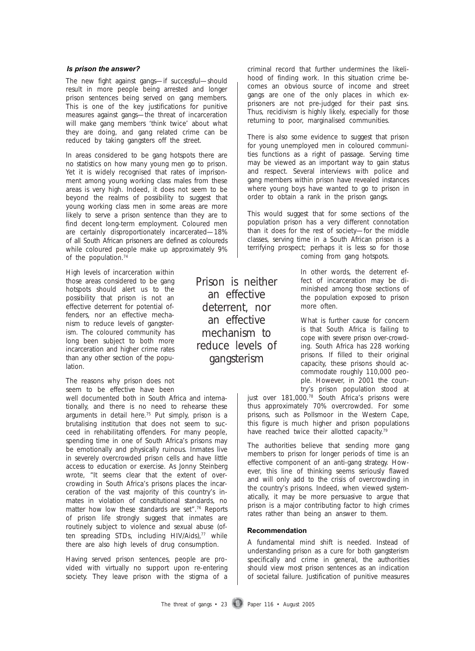#### *Is prison the answer?*

The new fight against gangs—if successful—should result in more people being arrested and longer prison sentences being served on gang members. This is one of the key justifications for punitive measures against gangs—the threat of incarceration will make gang members 'think twice' about what they are doing, and gang related crime can be reduced by taking gangsters off the street.

In areas considered to be gang hotspots there are no statistics on how many young men go to prison. Yet it is widely recognised that rates of imprisonment among young working class males from these areas is very high. Indeed, it does not seem to be beyond the realms of possibility to suggest that young working class men in some areas are more likely to serve a prison sentence than they are to find decent long-term employment. Coloured men are certainly disproportionately incarcerated—18% of all South African prisoners are defined as coloureds while coloured people make up approximately 9% of the population.<sup>74</sup>

High levels of incarceration within those areas considered to be gang hotspots should alert us to the possibility that prison is not an effective deterrent for potential offenders, nor an effective mechanism to reduce levels of gangsterism. The coloured community has long been subject to both more incarceration and higher crime rates than any other section of the population.

The reasons why prison does not seem to be effective have been

well documented both in South Africa and internationally, and there is no need to rehearse these arguments in detail here.75 Put simply, prison is a brutalising institution that does not seem to succeed in rehabilitating offenders. For many people, spending time in one of South Africa's prisons may be emotionally and physically ruinous. Inmates live in severely overcrowded prison cells and have little access to education or exercise. As Jonny Steinberg wrote, "It seems clear that the extent of overcrowding in South Africa's prisons places the incarceration of the vast majority of this country's inmates in violation of constitutional standards, no matter how low these standards are set".<sup>76</sup> Reports of prison life strongly suggest that inmates are routinely subject to violence and sexual abuse (often spreading STDs, including HIV/Aids),<sup>77</sup> while there are also high levels of drug consumption. **Reprison the answer?**<br> **Reprison the answer?**<br> **Recommendation of the answer of the answer of the answer of the answer of the answer of the sky putilizations for punitive treat on the answer of the answer of the answer of** 

Having served prison sentences, people are provided with virtually no support upon re-entering society. They leave prison with the stigma of a criminal record that further undermines the likelihood of finding work. In this situation crime becomes an obvious source of income and street gangs are one of the only places in which exprisoners are not pre-judged for their past sins. Thus, recidivism is highly likely, especially for those returning to poor, marginalised communities.

There is also some evidence to suggest that prison for young unemployed men in coloured communities functions as a right of passage. Serving time may be viewed as an important way to gain status and respect. Several interviews with police and gang members within prison have revealed instances where young boys have wanted to go to prison in order to obtain a rank in the prison gangs.

This would suggest that for some sections of the population prison has a very different connotation than it does for the rest of society—for the middle classes, serving time in a South African prison is a terrifying prospect; perhaps it is less so for those coming from gang hotspots.

> In other words, the deterrent effect of incarceration may be diminished among those sections of the population exposed to prison more often.

> What is further cause for concern is that South Africa is failing to cope with severe prison over-crowding. South Africa has 228 working prisons. If filled to their original capacity, these prisons should accommodate roughly 110,000 people. However, in 2001 the country's prison population stood at

just over 181,000.<sup>78</sup> South Africa's prisons were thus approximately 70% overcrowded. For some prisons, such as Pollsmoor in the Western Cape, this figure is much higher and prison populations have reached twice their allotted capacity.<sup>79</sup>

The authorities believe that sending more gang members to prison for longer periods of time is an effective component of an anti-gang strategy. However, this line of thinking seems seriously flawed and will only add to the crisis of overcrowding in the country's prisons. Indeed, when viewed systematically, it may be more persuasive to argue that prison is a major contributing factor to high crimes rates rather than being an answer to them.

#### **Recommendation**

A fundamental mind shift is needed. Instead of understanding prison as a cure for both gangsterism specifically and crime in general, the authorities should view most prison sentences as an indication of societal failure. Justification of punitive measures

The threat of gangs  $\cdot$  23 Paper 116  $\cdot$  August 2005

an effective deterrent, nor an effective mechanism to reduce levels of gangsterism

Prison is neither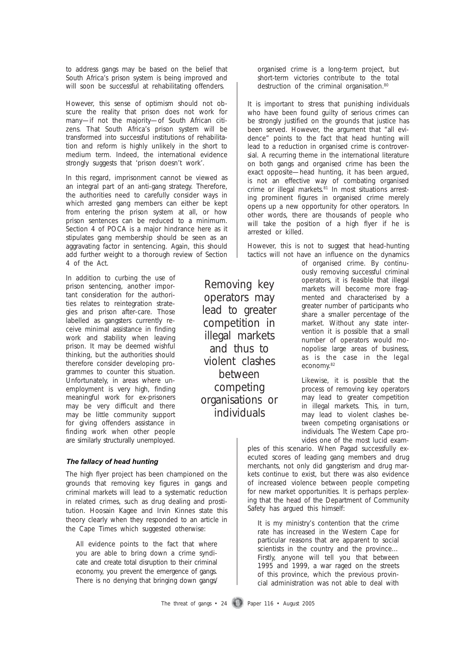to address gangs may be based on the belief that South Africa's prison system is being improved and will soon be successful at rehabilitating offenders.

However, this sense of optimism should not obscure the reality that prison does not work for many—if not the majority—of South African citizens. That South Africa's prison system will be transformed into successful institutions of rehabilitation and reform is highly unlikely in the short to medium term. Indeed, the international evidence strongly suggests that 'prison doesn't work'.

In this regard, imprisonment cannot be viewed as an integral part of an anti-gang strategy. Therefore, the authorities need to carefully consider ways in which arrested gang members can either be kept from entering the prison system at all, or how prison sentences can be reduced to a minimum. Section 4 of POCA is a major hindrance here as it stipulates gang membership should be seen as an aggravating factor in sentencing. Again, this should add further weight to a thorough review of Section 4 of the Act.

In addition to curbing the use of prison sentencing, another important consideration for the authorities relates to reintegration strategies and prison after-care. Those labelled as gangsters currently receive minimal assistance in finding work and stability when leaving prison. It may be deemed wishful thinking, but the authorities should therefore consider developing programmes to counter this situation. Unfortunately, in areas where unemployment is very high, finding meaningful work for ex-prisoners may be very difficult and there may be little community support for giving offenders assistance in finding work when other people are similarly structurally unemployed.

#### *The fallacy of head hunting The fallacy of head hunting*

The high flyer project has been championed on the grounds that removing key figures in gangs and criminal markets will lead to a systematic reduction in related crimes, such as drug dealing and prostitution. Hoosain Kagee and Irvin Kinnes state this theory clearly when they responded to an article in the Cape Times which suggested otherwise:

All evidence points to the fact that where you are able to bring down a crime syndicate and create total disruption to their criminal economy, you prevent the emergence of gangs. There is no denying that bringing down gangs/

organised crime is a long-term project, but short-term victories contribute to the total destruction of the criminal organisation.<sup>80</sup>

It is important to stress that punishing individuals who have been found guilty of serious crimes can be strongly justified on the grounds that justice has been served. However, the argument that "all evidence" points to the fact that head hunting will lead to a reduction in organised crime is controversial. A recurring theme in the international literature on both gangs and organised crime has been the exact opposite—head hunting, it has been argued, is not an effective way of combating organised crime or illegal markets. $81$  In most situations arresting prominent figures in organised crime merely opens up a new opportunity for other operators. In other words, there are thousands of people who will take the position of a high flyer if he is arrested or killed.

However, this is not to suggest that head-hunting tactics will not have an influence on the dynamics

of organised crime. By continuously removing successful criminal operators, it is feasible that illegal markets will become more fragmented and characterised by a greater number of participants who share a smaller percentage of the market. Without any state intervention it is possible that a small number of operators would monopolise large areas of business, as is the case in the legal economy.<sup>82</sup>

Likewise, it is possible that the process of removing key operators may lead to greater competition in illegal markets. This, in turn, may lead to violent clashes between competing organisations or individuals. The Western Cape provides one of the most lucid exam-

ples of this scenario. When Pagad successfully executed scores of leading gang members and drug merchants, not only did gangsterism and drug markets continue to exist, but there was also evidence of increased violence between people competing for new market opportunities. It is perhaps perplexing that the head of the Department of Community Safety has argued this himself:

It is my ministry's contention that the crime rate has increased in the Western Cape for particular reasons that are apparent to social scientists in the country and the province… Firstly, anyone will tell you that between 1995 and 1999, a war raged on the streets of this province, which the previous provincial administration was not able to deal with

operators may lead to greater competition in illegal markets and thus to violent clashes between competing organisations or individuals

Removing key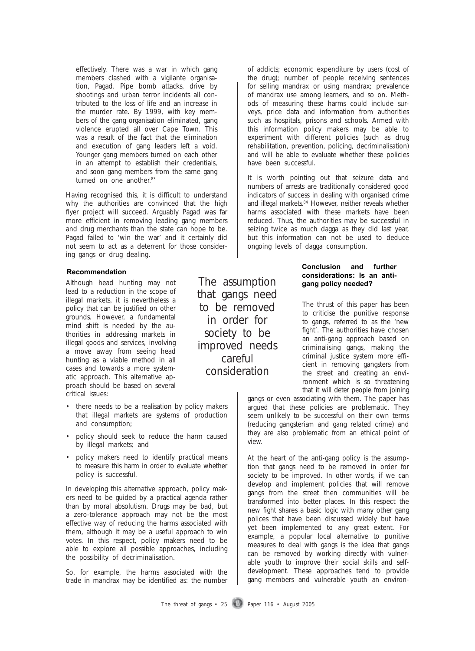effectively. There was a war in which gang members clashed with a vigilante organisation, Pagad. Pipe bomb attacks, drive by shootings and urban terror incidents all contributed to the loss of life and an increase in the murder rate. By 1999, with key members of the gang organisation eliminated, gang violence erupted all over Cape Town. This was a result of the fact that the elimination and execution of gang leaders left a void. Younger gang members turned on each other in an attempt to establish their credentials, and soon gang members from the same gang turned on one another.<sup>83</sup>

Having recognised this, it is difficult to understand why the authorities are convinced that the high flyer project will succeed. Arguably Pagad was far more efficient in removing leading gang members and drug merchants than the state can hope to be. Pagad failed to 'win the war' and it certainly did not seem to act as a deterrent for those considering gangs or drug dealing.

#### **Recommendation Recommendation**

Although head hunting may not lead to a reduction in the scope of illegal markets, it is nevertheless a policy that can be justified on other grounds. However, a fundamental mind shift is needed by the authorities in addressing markets in illegal goods and services, involving a move away from seeing head hunting as a viable method in all cases and towards a more systematic approach. This alternative approach should be based on several critical issues:

- there needs to be a realisation by policy makers that illegal markets are systems of production and consumption;
- policy should seek to reduce the harm caused by illegal markets; and
- policy makers need to identify practical means to measure this harm in order to evaluate whether policy is successful.

In developing this alternative approach, policy makers need to be guided by a practical agenda rather than by moral absolutism. Drugs may be bad, but a zero-tolerance approach may not be the most effective way of reducing the harms associated with them, although it may be a useful approach to win votes. In this respect, policy makers need to be able to explore all possible approaches, including the possibility of decriminalisation.

So, for example, the harms associated with the trade in mandrax may be identified as: the number

The assumption that gangs need to be removed in order for society to be improved needs careful consideration

of addicts; economic expenditure by users (cost of the drug); number of people receiving sentences for selling mandrax or using mandrax; prevalence of mandrax use among learners, and so on. Methods of measuring these harms could include surveys, price data and information from authorities such as hospitals, prisons and schools. Armed with this information policy makers may be able to experiment with different policies (such as drug rehabilitation, prevention, policing, decriminalisation) and will be able to evaluate whether these policies have been successful.

It is worth pointing out that seizure data and numbers of arrests are traditionally considered good indicators of success in dealing with organised crime and illegal markets.<sup>84</sup> However, neither reveals whether harms associated with these markets have been reduced. Thus, the authorities may be successful in seizing twice as much dagga as they did last year, but this information can not be used to deduce ongoing levels of dagga consumption.

#### **Conclusion and further Conclusion and further considerations: Is an anti-considerations: Is an antigang policy needed? gang policy needed?**

The thrust of this paper has been to criticise the punitive response to gangs, referred to as the 'new fight'. The authorities have chosen an anti-gang approach based on criminalising gangs, making the criminal justice system more efficient in removing gangsters from the street and creating an environment which is so threatening that it will deter people from joining

gangs or even associating with them. The paper has argued that these policies are problematic. They seem unlikely to be successful on their own terms (reducing gangsterism and gang related crime) and they are also problematic from an ethical point of view.

At the heart of the anti-gang policy is the assumption that gangs need to be removed in order for society to be improved. In other words, if we can develop and implement policies that will remove gangs from the street then communities will be transformed into better places. In this respect the new fight shares a basic logic with many other gang polices that have been discussed widely but have yet been implemented to any great extent. For example, a popular local alternative to punitive measures to deal with gangs is the idea that gangs can be removed by working directly with vulnerable youth to improve their social skills and selfdevelopment. These approaches tend to provide gang members and vulnerable youth an environ-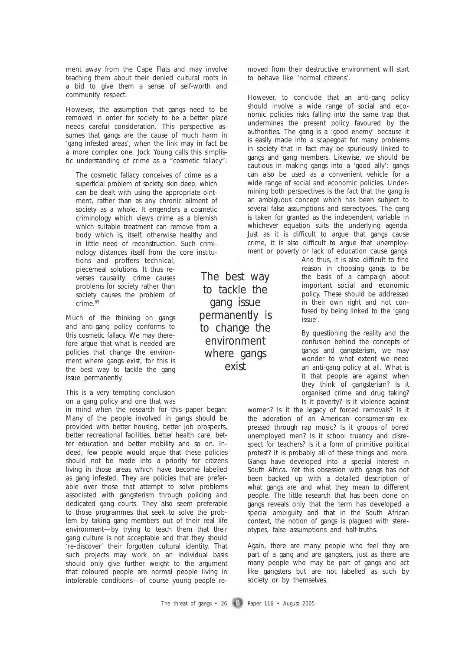ment away from the Cape Flats and may involve teaching them about their denied cultural roots in a bid to give them a sense of self-worth and community respect.

However, the assumption that gangs need to be removed in order for society to be a better place needs careful consideration. This perspective assumes that gangs are the cause of much harm in 'gang infested areas', when the link may in fact be a more complex one. Jock Young calls this simplistic understanding of crime as a "cosmetic fallacy":

The cosmetic fallacy conceives of crime as a superficial problem of society, skin deep, which can be dealt with using the appropriate ointment, rather than as any chronic ailment of society as a whole. It engenders a cosmetic criminology which views crime as a blemish which suitable treatment can remove from a body which is, itself, otherwise healthy and in little need of reconstruction. Such criminology distances itself from the core institu-

tions and proffers technical, piecemeal solutions. It thus reverses causality: crime causes problems for society rather than society causes the problem of crime.<sup>85</sup>

Much of the thinking on gangs and anti-gang policy conforms to this cosmetic fallacy. We may therefore argue that what is needed are policies that change the environment where gangs exist, for this is the best way to tackle the gang issue permanently.

This is a very tempting conclusion on a gang policy and one that was

in mind when the research for this paper began: Many of the people involved in gangs *should* be provided with better housing, better job prospects, better recreational facilities, better health care, better education and better mobility and so on. Indeed, few people would argue that these policies should not be made into a priority for citizens living in those areas which have become labelled as gang infested. They are policies that are preferable over those that attempt to solve problems associated with gangsterism through policing and dedicated gang courts. They also seem preferable to those programmes that seek to solve the problem by taking gang members out of their real life environment—by trying to teach them that their gang culture is not acceptable and that they should 're-discover' their forgotten cultural identity. That such projects may work on an individual basis should only give further weight to the argument that coloured people are normal people living in intolerable conditions—of course young people removed from their destructive environment will start to behave like 'normal citizens'.

However, to conclude that an anti-gang policy should involve a wide range of social and economic policies risks falling into the same trap that undermines the present policy favoured by the authorities. The gang is a 'good enemy' because it is easily made into a scapegoat for many problems in society that in fact may be spuriously linked to gangs and gang members. Likewise, we should be cautious in making gangs into a 'good ally': gangs can also be used as a convenient vehicle for a wide range of social and economic policies. Undermining both perspectives is the fact that the gang is an ambiguous concept which has been subject to several false assumptions and stereotypes. The gang is taken for granted as the independent variable in whichever equation suits the underlying agenda. Just as it is difficult to argue that gangs cause crime, it is also difficult to argue that unemployment or poverty or lack of education cause gangs.

> And thus, it is also difficult to find reason in choosing gangs to be the basis of a campaign about important social and economic policy. These should be addressed in their own right and not confused by being linked to the 'gang issue'.

> By questioning the reality and the confusion behind the concepts of gangs and gangsterism, we may wonder to what extent we need an anti-gang policy at all. What is it that people are against when they think of gangsterism? Is it organised crime and drug taking? Is it poverty? Is it violence against

women? Is it the legacy of forced removals? Is it the adoration of an American consumerism expressed through rap music? Is it groups of bored unemployed men? Is it school truancy and disrespect for teachers? Is it a form of primitive political protest? It is probably all of these things and more. Gangs have developed into a special interest in South Africa. Yet this obsession with gangs has not been backed up with a detailed description of what gangs are and what they mean to different people. The little research that has been done on gangs reveals only that the term has developed a special ambiguity and that in the South African context, the notion of gangs is plagued with stereotypes, false assumptions and half-truths.

Again, there are many people who feel they are part of a gang and are gangsters, just as there are many people who may be part of gangs and act like gangsters but are not labelled as such by society or by themselves.

to tackle the gang issue permanently is to change the environment where gangs exist

The best way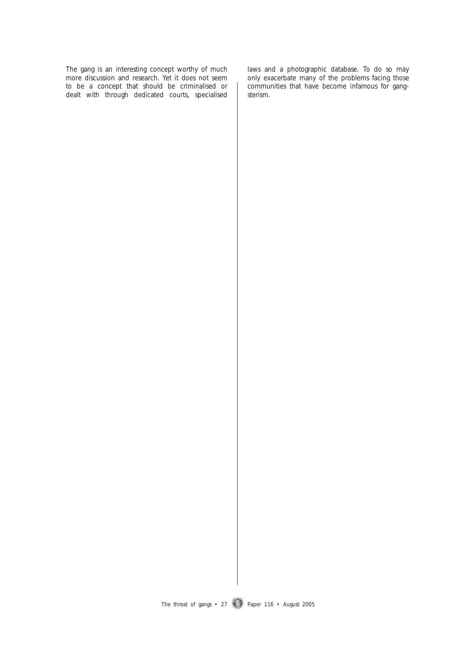The gang is an interesting concept worthy of much more discussion and research. Yet it does not seem to be a concept that should be criminalised or dealt with through dedicated courts, specialised laws and a photographic database. To do so may only exacerbate many of the problems facing *those* communities that have become infamous for gangsterism.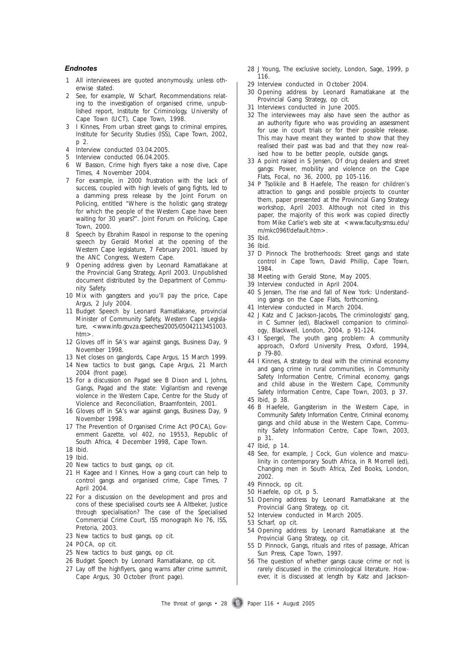#### *Endnotes Endnotes*

- 1 All interviewees are quoted anonymously, unless otherwise stated.
- 2 See, for example, W Scharf, Recommendations relating to the investigation of organised crime*,* unpublished report, Institute for Criminology, University of Cape Town (UCT), Cape Town, 1998.
- 3 I Kinnes, *From urban street gangs to criminal empires,* Institute for Security Studies (ISS), Cape Town, 2002, p 2.
- 4 Interview conducted 03.04.2005.
- 5 Interview conducted 06.04.2005.
- 6 W Basson, Crime high flyers take a nose dive, *Cape Times*, 4 November 2004.
- 7 For example, in 2000 frustration with the lack of success, coupled with high levels of gang fights, led to a damming press release by the Joint Forum on Policing, entitled "Where is the holistic gang strategy for which the people of the Western Cape have been waiting for 30 years?". Joint Forum on Policing, Cape Town, 2000.
- 8 Speech by Ebrahim Rasool in response to the opening speech by Gerald Morkel at the opening of the Western Cape legislature, 7 February 2001. Issued by the *ANC Congress*, Western Cape.
- 9 Opening address given by Leonard Ramatlakane at the Provincial Gang Strategy, April 2003. Unpublished document distributed by the Department of Community Safety.
- 10 Mix with gangsters and you'll pay the price, *Cape Argus*, 2 July 2004.
- 11 Budget Speech by Leonard Ramatlakane, provincial Minister of Community Safety, Western Cape Legislature, <www.info.gov.za.speeches/2005/05042113451003. htm>.
- 12 Gloves off in SA's war against gangs, *Business Day*, 9 November 1998.
- 13 Net closes on ganglords, *Cape Argus*, 15 March 1999.
- 14 New tactics to bust gangs, *Cape Argus*, 21 March 2004 (front page).
- 15 For a discussion on Pagad see B Dixon and L Johns, *Gangs, Pagad and the state: Vigilantism and revenge violence in the Western Cape,* Centre for the Study of Violence and Reconciliation, Braamfontein, 2001.
- 16 Gloves off in SA's war against gangs, *Business Day*, 9 November 1998.
- 17 The Prevention of Organised Crime Act (POCA), *Government Gazette*, vol 402, no 19553, Republic of South Africa, 4 December 1998, Cape Town.
- 18 Ibid.
- 19 Ibid.
- 20 New tactics to bust gangs, op cit.
- 21 H Kagee and I Kinnes, How a gang court can help to control gangs and organised crime, *Cape Times*, 7 April 2004.
- 22 For a discussion on the development and pros and cons of these specialised courts see A Altbeker, *Justice through specialisation? The case of the Specialised Commercial Crime Court*, ISS monograph No 76, ISS, Pretoria, 2003.
- 23 New tactics to bust gangs, op cit.
- 24 POCA, op cit.
- 25 New tactics to bust gangs, op cit.
- 26 Budget Speech by Leonard Ramatlakane, op cit.
- 27 Lay off the highflyers, gang warns after crime summit, *Cape Argus*, 30 October (front page).
- 28 J Young, *The exclusive society*, London, Sage, 1999, p 116.
- 29 Interview conducted in October 2004.
- 30 Opening address by Leonard Ramatlakane at the Provincial Gang Strategy, op cit.
- 31 Interviews conducted in June 2005.
- 32 The interviewees may also have seen the author as an authority figure who was providing an assessment for use in court trials or for their possible release. This may have meant they wanted to show that they realised their past was bad and that they now realised how to be better people, outside gangs.
- 33 A point raised in S Jensen, Of drug dealers and street gangs: Power, mobility and violence on the Cape Flats, *Focal,* no 36, 2000, pp 105-116.
- 34 P Tsolikile and B Haefele, The reason for children's attraction to gangs and possible projects to counter them, paper presented at the Provincial Gang Strategy workshop, April 2003. Although not cited in this paper, the majority of this work was copied directly from Mike Carlie's web site at <www.faculty.smsu.edu/ m/mkc096f/default.htm>.
- 35 Ibid.
- 36 Ibid.
- 37 D Pinnock *The brotherhoods: Street gangs and state control in Cape Town,* David Phillip, Cape Town, 1984.
- 38 Meeting with Gerald Stone, May 2005.
- 39 Interview conducted in April 2004.
- 40 S Jensen, The rise and fall of New York: Understanding gangs on the Cape Flats, forthcoming.
- 41 Interview conducted in March 2004.
- 42 J Katz and C Jackson-Jacobs, The criminologists' gang, in C Sumner (ed), *Blackwell companion to criminology*, Blackwell, London, 2004, p 91-124.
- 43 I Spergel, *The youth gang problem: A community approach*, Oxford University Press, Oxford, 1994, p 79-80.
- 44 I Kinnes, A strategy to deal with the criminal economy and gang crime in rural communities, in Community Safety Information Centre, *Criminal economy, gangs and child abuse in the Western Cape,* Community Safety Information Centre, Cape Town, 2003, p 37.
- 45 Ibid, p 38.
- 46 B Haefele, Gangsterism in the Western Cape, in Community Safety Information Centre, *Criminal economy, gangs and child abuse in the Western Cape,* Community Safety Information Centre, Cape Town, 2003, p 31.
- 47 Ibid, p 14.
- 48 See, for example, J Cock, Gun violence and masculinity in contemporary South Africa, in R Morrell (ed), *Changing men in South Africa*, Zed Books, London, 2002.
- 49 Pinnock, op cit.
- 50 Haefele, op cit, p 5.
- 51 Opening address by Leonard Ramatlakane at the Provincial Gang Strategy, op cit.
- 52 Interview conducted in March 2005.
- 53 Scharf, op cit.
- 54 Opening address by Leonard Ramatlakane at the Provincial Gang Strategy, op cit.
- 55 D Pinnock, *Gangs, rituals and rites of passage*, African Sun Press, Cape Town, 1997.
- 56 The question of whether gangs cause crime or not is rarely discussed in the criminological literature. However, it is discussed at length by Katz and Jackson-

The threat of gangs  $\cdot$  28 Paper 116  $\cdot$  August 2005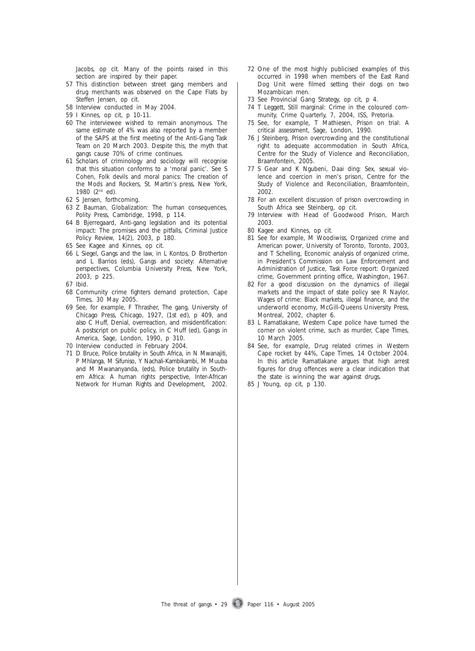Jacobs, op cit. Many of the points raised in this section are inspired by their paper.

- 57 This distinction between street gang members and drug merchants was observed on the Cape Flats by Steffen Jensen, op cit.
- 58 Interview conducted in May 2004.
- 59 I Kinnes, op cit, p 10-11.
- 60 The interviewee wished to remain anonymous. The same estimate of 4% was also reported by a member of the SAPS at the first meeting of the Anti-Gang Task Team on 20 March 2003. Despite this, the myth that gangs cause 70% of crime continues.
- 61 Scholars of criminology and sociology will recognise that this situation conforms to a 'moral panic'. See S Cohen, *Folk devils and moral panics: The creation of the Mods and Rockers*, St. Martin's press, New York, 1980 (2nd ed).
- 62 S Jensen, forthcoming.
- 63 Z Bauman, *Globalization: The human consequences,* Polity Press, Cambridge, 1998, p 114.
- 64 B Bjerregaard, Anti-gang legislation and its potential impact: The promises and the pitfalls, *Criminal Justice Policy Review,* 14(2), 2003, p 180.
- 65 See Kagee and Kinnes, op cit.
- 66 L Siegel, Gangs and the law, in L Kontos, D Brotherton and L Barrios (eds), *Gangs and society: Alternative perspectives*, Columbia University Press, New York, 2003, p 225.
- 67 Ibid.
- 68 Community crime fighters demand protection, *Cape Times*, 30 May 2005.
- 69 See, for example, F Thrasher, *The gang*, University of Chicago Press, Chicago, 1927, (1st ed), p 409, and also C Huff, Denial, overreaction, and misidentification: A postscript on public policy, in C Huff (ed), *Gangs in America*, Sage, London, 1990, p 310.
- 70 Interview conducted in February 2004.
- 71 D Bruce, Police brutality in South Africa, in N Mwanajiti, P Mhlanga, M Sifuniso, Y Nachali-Kambikambi, M Muuba and M Mwananyanda, (eds), *Police brutality in Southern Africa: A human rights perspective,* Inter-African Network for Human Rights and Development, 2002.
- 72 One of the most highly publicised examples of this occurred in 1998 when members of the East Rand Dog Unit were filmed setting their dogs on two Mozambican men.
- 73 See Provincial Gang Strategy, op cit, p 4.
- 74 T Leggett, Still marginal: Crime in the coloured community, *Crime Quarterly,* 7, 2004, ISS, Pretoria.
- 75 See, for example, T Mathiesen, *Prison on trial: A critical assessment*, Sage, London, 1990.
- 76 J Steinberg, *Prison overcrowding and the constitutional right to adequate accommodation in South Africa*, Centre for the Study of Violence and Reconciliation, Braamfontein, 2005.
- 77 S Gear and K Ngubeni, *Daai ding: Sex, sexual violence and coercion in men's prison*, Centre for the Study of Violence and Reconciliation, Braamfontein, 2002.
- 78 For an excellent discussion of prison overcrowding in South Africa see Steinberg, op cit.
- 79 Interview with Head of Goodwood Prison, March 2003.
- 80 Kagee and Kinnes, op cit.
- 81 See for example, M Woodiwiss, *Organized crime and American power*, University of Toronto, Toronto, 2003, and T Schelling, Economic analysis of organized crime, in President's Commission on Law Enforcement and Administration of Justice, *Task Force report: Organized crime*, Government printing office, Washington, 1967.
- 82 For a good discussion on the dynamics of illegal markets and the impact of state policy see R Naylor, *Wages of crime: Black markets, illegal finance, and the underworld economy*, McGill-Queens University Press, Montreal, 2002, chapter 6.
- 83 L Ramatlakane, Western Cape police have turned the corner on violent crime, such as murder, *Cape Times*, 10 March 2005.
- 84 See, for example, Drug related crimes in Western Cape rocket by 44%, *Cape Times*, 14 October 2004. In this article Ramatlakane argues that high arrest figures for drug offences were a clear indication that the state is winning the war against drugs.
- 85 J Young, op cit, p 130.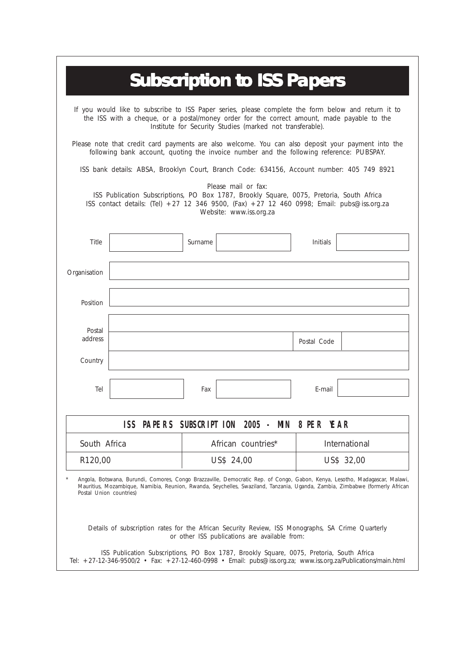|                                                                                                                                                                                                                                                                |                                                                                           |         | <b>Subscription to ISS Papers</b>                                                                                                                                                                                                                                                                                                                                                                                 |             |               |  |
|----------------------------------------------------------------------------------------------------------------------------------------------------------------------------------------------------------------------------------------------------------------|-------------------------------------------------------------------------------------------|---------|-------------------------------------------------------------------------------------------------------------------------------------------------------------------------------------------------------------------------------------------------------------------------------------------------------------------------------------------------------------------------------------------------------------------|-------------|---------------|--|
| If you would like to subscribe to ISS Paper series, please complete the form below and return it to<br>the ISS with a cheque, or a postal/money order for the correct amount, made payable to the<br>Institute for Security Studies (marked not transferable). |                                                                                           |         |                                                                                                                                                                                                                                                                                                                                                                                                                   |             |               |  |
| Please note that credit card payments are also welcome. You can also deposit your payment into the<br>following bank account, quoting the invoice number and the following reference: PUBSPAY.                                                                 |                                                                                           |         |                                                                                                                                                                                                                                                                                                                                                                                                                   |             |               |  |
|                                                                                                                                                                                                                                                                | ISS bank details: ABSA, Brooklyn Court, Branch Code: 634156, Account number: 405 749 8921 |         |                                                                                                                                                                                                                                                                                                                                                                                                                   |             |               |  |
|                                                                                                                                                                                                                                                                |                                                                                           |         | Please mail or fax:<br>ISS Publication Subscriptions, PO Box 1787, Brookly Square, 0075, Pretoria, South Africa<br>ISS contact details: (Tel) +27 12 346 9500, (Fax) +27 12 460 0998; Email: pubs@iss.org.za<br>Website: www.iss.org.za                                                                                                                                                                           |             |               |  |
| Title                                                                                                                                                                                                                                                          |                                                                                           | Surname |                                                                                                                                                                                                                                                                                                                                                                                                                   | Initials    |               |  |
| Organisation                                                                                                                                                                                                                                                   |                                                                                           |         |                                                                                                                                                                                                                                                                                                                                                                                                                   |             |               |  |
| Position                                                                                                                                                                                                                                                       |                                                                                           |         |                                                                                                                                                                                                                                                                                                                                                                                                                   |             |               |  |
| Postal<br>address                                                                                                                                                                                                                                              |                                                                                           |         |                                                                                                                                                                                                                                                                                                                                                                                                                   | Postal Code |               |  |
| Country                                                                                                                                                                                                                                                        |                                                                                           |         |                                                                                                                                                                                                                                                                                                                                                                                                                   |             |               |  |
| Tel                                                                                                                                                                                                                                                            |                                                                                           | Fax     |                                                                                                                                                                                                                                                                                                                                                                                                                   | E-mail      |               |  |
|                                                                                                                                                                                                                                                                |                                                                                           |         | ISS PAPERS SUBSCRIPTION 2005 - MIN 8 PER YEAR                                                                                                                                                                                                                                                                                                                                                                     |             |               |  |
| South Africa                                                                                                                                                                                                                                                   |                                                                                           |         | African countries*                                                                                                                                                                                                                                                                                                                                                                                                |             | International |  |
|                                                                                                                                                                                                                                                                | R120,00                                                                                   |         | US\$ 24,00                                                                                                                                                                                                                                                                                                                                                                                                        |             | US\$ 32,00    |  |
| Postal Union countries)                                                                                                                                                                                                                                        |                                                                                           |         | Angola, Botswana, Burundi, Comores, Congo Brazzaville, Democratic Rep. of Congo, Gabon, Kenya, Lesotho, Madagascar, Malawi,<br>Mauritius, Mozambique, Namibia, Reunion, Rwanda, Seychelles, Swaziland, Tanzania, Uganda, Zambia, Zimbabwe (formerly African<br>Details of subscription rates for the African Security Review, ISS Monographs, SA Crime Quarterly<br>or other ISS publications are available from: |             |               |  |
|                                                                                                                                                                                                                                                                |                                                                                           |         | ISS Publication Subscriptions, PO Box 1787, Brookly Square, 0075, Pretoria, South Africa<br>Tel: +27-12-346-9500/2 • Fax: +27-12-460-0998 • Email: pubs@iss.org.za; www.iss.org.za/Publications/main.html                                                                                                                                                                                                         |             |               |  |